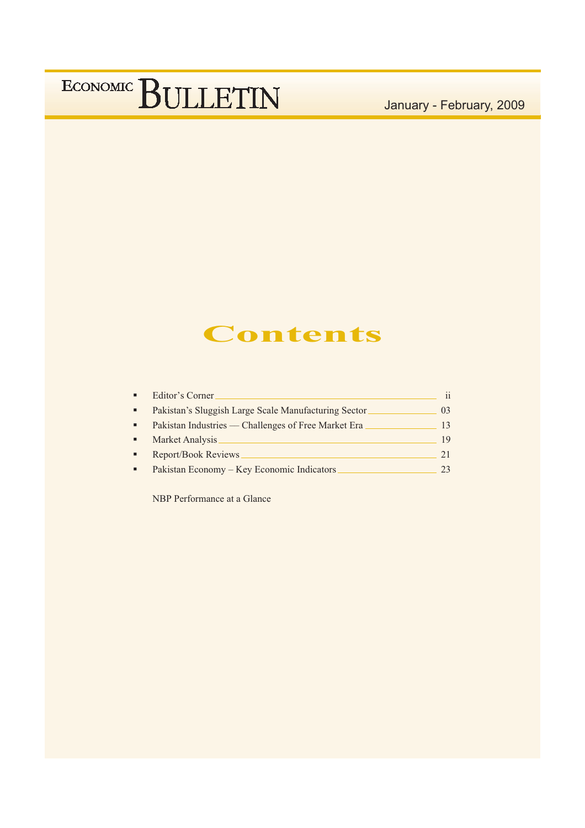January - February, 2009

## **Contents**

|                | Editor's Corner.                                     | $\mathbf{i}$ |
|----------------|------------------------------------------------------|--------------|
| $\blacksquare$ | Pakistan's Sluggish Large Scale Manufacturing Sector | 03           |
| $\blacksquare$ | Pakistan Industries — Challenges of Free Market Era  | 13           |
| $\blacksquare$ | Market Analysis                                      | 19           |
|                | <b>Report/Book Reviews</b>                           | 21           |
|                | Pakistan Economy – Key Economic Indicators           | 23           |

NBP Performance at a Glance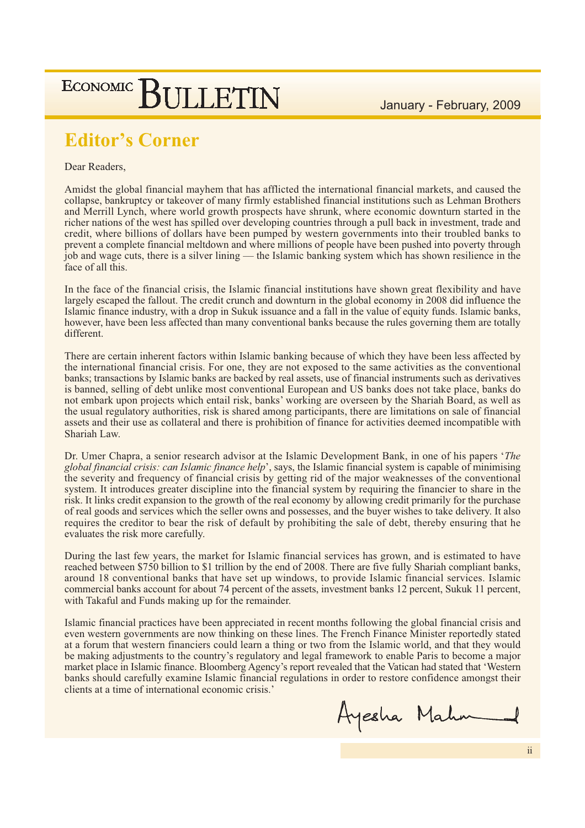January - February, 2009

### **ECONOMIC BULLETIN**

## **Editor's Corner**

Dear Readers,

Amidst the global financial mayhem that has afflicted the international financial markets, and caused the collapse, bankruptcy or takeover of many firmly established financial institutions such as Lehman Brothers and Merrill Lynch, where world growth prospects have shrunk, where economic downturn started in the richer nations of the west has spilled over developing countries through a pull back in investment, trade and credit, where billions of dollars have been pumped by western governments into their troubled banks to prevent a complete financial meltdown and where millions of people have been pushed into poverty through job and wage cuts, there is a silver lining — the Islamic banking system which has shown resilience in the face of all this.

In the face of the financial crisis, the Islamic financial institutions have shown great flexibility and have largely escaped the fallout. The credit crunch and downturn in the global economy in 2008 did influence the Islamic finance industry, with a drop in Sukuk issuance and a fall in the value of equity funds. Islamic banks, however, have been less affected than many conventional banks because the rules governing them are totally different.

There are certain inherent factors within Islamic banking because of which they have been less affected by the international financial crisis. For one, they are not exposed to the same activities as the conventional banks; transactions by Islamic banks are backed by real assets, use of financial instruments such as derivatives is banned, selling of debt unlike most conventional European and US banks does not take place, banks do not embark upon projects which entail risk, banks' working are overseen by the Shariah Board, as well as the usual regulatory authorities, risk is shared among participants, there are limitations on sale of financial assets and their use as collateral and there is prohibition of finance for activities deemed incompatible with Shariah Law.

Dr. Umer Chapra, a senior research advisor at the Islamic Development Bank, in one of his papers 'The global financial crisis: can Islamic finance help', says, the Islamic financial system is capable of minimising the severity and frequency of financial crisis by getting rid of the major weaknesses of the conventional system. It introduces greater discipline into the financial system by requiring the financier to share in the risk. It links credit expansion to the growth of the real economy by allowing credit primarily for the purchase of real goods and services which the seller owns and possesses, and the buyer wishes to take delivery. It also requires the creditor to bear the risk of default by prohibiting the sale of debt, thereby ensuring that he evaluates the risk more carefully.

During the last few years, the market for Islamic financial services has grown, and is estimated to have reached between \$750 billion to \$1 trillion by the end of 2008. There are five fully Shariah compliant banks, around 18 conventional banks that have set up windows, to provide Islamic financial services. Islamic commercial banks account for about 74 percent of the assets, investment banks 12 percent, Sukuk 11 percent, with Takaful and Funds making up for the remainder.

Islamic financial practices have been appreciated in recent months following the global financial crisis and even western governments are now thinking on these lines. The French Finance Minister reportedly stated at a forum that western financiers could learn a thing or two from the Islamic world, and that they would be making adjustments to the country's regulatory and legal framework to enable Paris to become a major market place in Islamic finance. Bloomberg Agency's report revealed that the Vatican had stated that 'Western banks should carefully examine Islamic financial regulations in order to restore confidence amongst their clients at a time of international economic crisis.'

Ayesha Mahm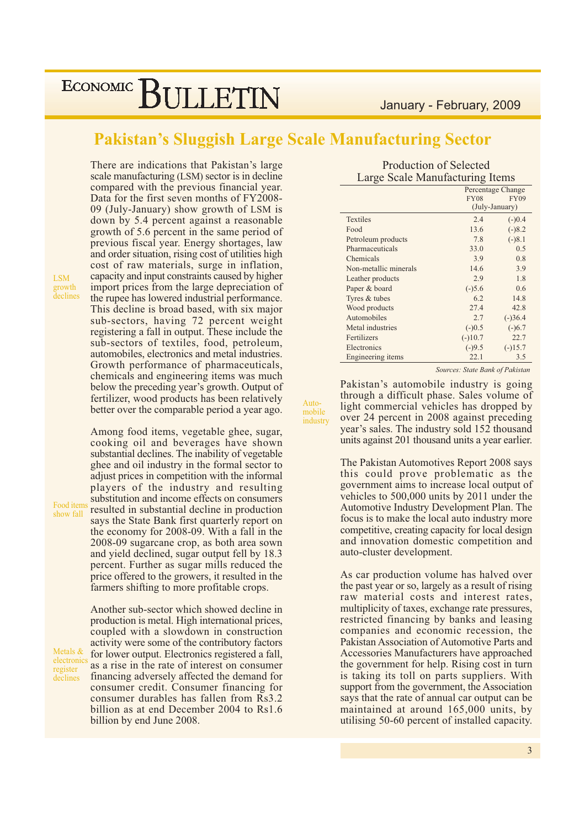### **Pakistan's Sluggish Large Scale Manufacturing Sector**

Auto-

mobile

industry

**LSM** growth declines

Food items

show fall

Metals  $\&$ 

electronics

register

declines

There are indications that Pakistan's large scale manufacturing (LSM) sector is in decline compared with the previous financial year. Data for the first seven months of FY2008-09 (July-January) show growth of LSM is down by 5.4 percent against a reasonable growth of 5.6 percent in the same period of previous fiscal year. Energy shortages, law and order situation, rising cost of utilities high cost of raw materials, surge in inflation, capacity and input constraints caused by higher import prices from the large depreciation of the rupee has lowered industrial performance. This decline is broad based, with six major sub-sectors, having 72 percent weight registering a fall in output. These include the sub-sectors of textiles, food, petroleum, automobiles, electronics and metal industries. Growth performance of pharmaceuticals, chemicals and engineering items was much below the preceding year's growth. Output of fertilizer, wood products has been relatively better over the comparable period a year ago.

Among food items, vegetable ghee, sugar, cooking oil and beverages have shown substantial declines. The inability of vegetable ghee and oil industry in the formal sector to adjust prices in competition with the informal players of the industry and resulting substitution and income effects on consumers resulted in substantial decline in production says the State Bank first quarterly report on the economy for 2008-09. With a fall in the 2008-09 sugarcane crop, as both area sown and yield declined, sugar output fell by 18.3 percent. Further as sugar mills reduced the price offered to the growers, it resulted in the farmers shifting to more profitable crops.

Another sub-sector which showed decline in production is metal. High international prices, coupled with a slowdown in construction activity were some of the contributory factors for lower output. Electronics registered a fall, as a rise in the rate of interest on consumer financing adversely affected the demand for consumer credit. Consumer financing for consumer durables has fallen from Rs3.2 billion as at end December 2004 to Rs1.6 billion by end June 2008.

| <b>Production of Selected</b>   |  |
|---------------------------------|--|
| Large Scale Manufacturing Items |  |

|                          |             | Percentage Change |
|--------------------------|-------------|-------------------|
|                          | <b>FY08</b> | <b>FY09</b>       |
|                          |             | (July-January)    |
| <b>Textiles</b>          | 2.4         | $(-)0.4$          |
| Food                     | 13.6        | $(-)8.2$          |
| Petroleum products       | 7.8         | $(-)8.1$          |
| Pharmaceuticals          | 33.0        | 0.5               |
| Chemicals                | 3.9         | 0.8               |
| Non-metallic minerals    | 14.6        | 3.9               |
| Leather products         | 2.9         | 1.8               |
| Paper & board            | $(-)5.6$    | 0.6               |
| Tyres & tubes            | 6.2         | 14.8              |
| Wood products            | 27.4        | 42.8              |
| Automobiles              | 2.7         | $(-)36.4$         |
| Metal industries         | $(-)0.5$    | $(-)6.7$          |
| Fertilizers              | $(-)10.7$   | 22.7              |
| Electronics              | $(-)9.5$    | $(-)15.7$         |
| <b>Engineering</b> items | 22.1        | 3.5               |

Sources: State Bank of Pakistan

Pakistan's automobile industry is going through a difficult phase. Sales volume of light commercial vehicles has dropped by over 24 percent in 2008 against preceding year's sales. The industry sold 152 thousand units against 201 thousand units a year earlier.

The Pakistan Automotives Report 2008 says this could prove problematic as the government aims to increase local output of vehicles to 500,000 units by 2011 under the Automotive Industry Development Plan. The focus is to make the local auto industry more competitive, creating capacity for local design and innovation domestic competition and auto-cluster development.

As car production volume has halved over the past year or so, largely as a result of rising raw material costs and interest rates. multiplicity of taxes, exchange rate pressures, restricted financing by banks and leasing companies and economic recession, the Pakistan Association of Automotive Parts and Accessories Manufacturers have approached the government for help. Rising cost in turn is taking its toll on parts suppliers. With support from the government, the Association says that the rate of annual car output can be maintained at around 165,000 units, by utilising 50-60 percent of installed capacity.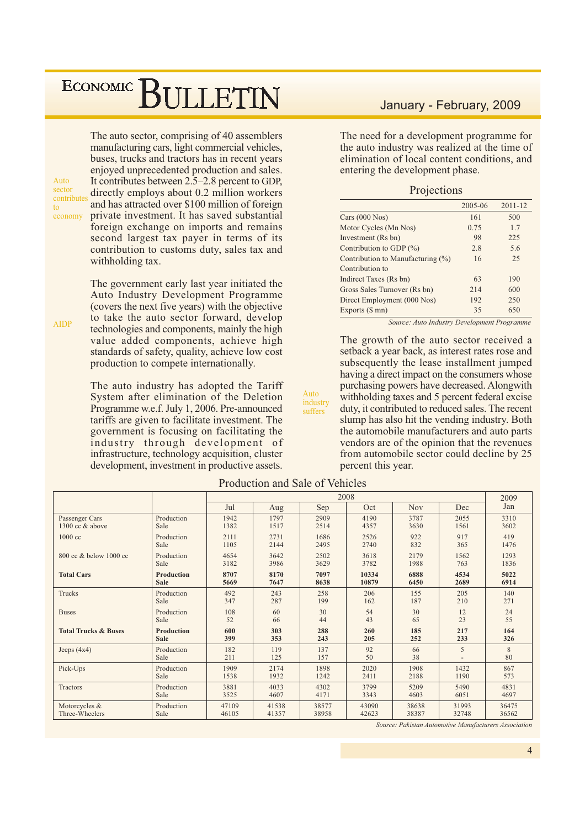## ECONOMIC BIJLETIN

 $Anto$ sector contributes  $\overline{f}$ economy

**AIDP** 

The auto sector, comprising of 40 assemblers manufacturing cars, light commercial vehicles, buses, trucks and tractors has in recent years enjoyed unprecedented production and sales. It contributes between 2.5–2.8 percent to GDP, directly employs about 0.2 million workers and has attracted over \$100 million of foreign private investment. It has saved substantial foreign exchange on imports and remains second largest tax payer in terms of its contribution to customs duty, sales tax and withholding tax.

The government early last year initiated the Auto Industry Development Programme (covers the next five years) with the objective to take the auto sector forward, develop technologies and components, mainly the high value added components, achieve high standards of safety, quality, achieve low cost production to compete internationally.

The auto industry has adopted the Tariff System after elimination of the Deletion Programme w.e.f. July 1, 2006. Pre-announced tariffs are given to facilitate investment. The government is focusing on facilitating the industry through development of infrastructure, technology acquisition, cluster development, investment in productive assets.

#### January - February, 2009

The need for a development programme for the auto industry was realized at the time of elimination of local content conditions, and entering the development phase.

#### Projections

|                                   | 2005-06 | 2011-12 |
|-----------------------------------|---------|---------|
| Cars $(000$ Nos $)$               | 161     | 500     |
| Motor Cycles (Mn Nos)             | 0.75    | 1.7     |
| Investment (Rs bn)                | 98      | 225     |
| Contribution to GDP $(\%)$        | 2.8     | 5.6     |
| Contribution to Manufacturing (%) | 16      | 25      |
| Contribution to                   |         |         |
| Indirect Taxes (Rs bn)            | 63      | 190     |
| Gross Sales Turnover (Rs bn)      | 214     | 600     |
| Direct Employment (000 Nos)       | 192     | 250     |
| Exports (\$ mn)                   | 35      | 650     |

Source: Auto Industry Development Programme

The growth of the auto sector received a setback a year back, as interest rates rose and subsequently the lease installment jumped having a direct impact on the consumers whose purchasing powers have decreased. Alongwith with holding taxes and 5 percent federal excise duty, it contributed to reduced sales. The recent slump has also hit the vending industry. Both the automobile manufacturers and auto parts vendors are of the opinion that the revenues from automobile sector could decline by 25 percent this year.

|                                 |                    | 2008       |            |            |          |            |       |         |
|---------------------------------|--------------------|------------|------------|------------|----------|------------|-------|---------|
|                                 |                    | Jul        | Aug        | Sep        | Oct      | <b>Nov</b> | Dec   | Jan     |
| Passenger Cars                  | Production         | 1942       | 1797       | 2909       | 4190     | 3787       | 2055  | 3310    |
| 1300 cc & above                 | Sale               | 1382       | 1517       | 2514       | 4357     | 3630       | 1561  | 3602    |
| 1000 cc                         | Production         | 2111       | 2731       | 1686       | 2526     | 922        | 917   | 419     |
|                                 | Sale               | 1105       | 2144       | 2495       | 2740     | 832        | 365   | 1476    |
| 800 cc & below 1000 cc          | Production         | 4654       | 3642       | 2502       | 3618     | 2179       | 1562  | 1293    |
|                                 | Sale               | 3182       | 3986       | 3629       | 3782     | 1988       | 763   | 1836    |
| <b>Total Cars</b>               | <b>Production</b>  | 8707       | 8170       | 7097       | 10334    | 6888       | 4534  | 5022    |
|                                 | <b>Sale</b>        | 5669       | 7647       | 8638       | 10879    | 6450       | 2689  | 6914    |
| Trucks                          | Production         | 492        | 243        | 258        | 206      | 155        | 205   | 140     |
|                                 | Sale               | 347        | 287        | 199        | 162      | 187        | 210   | 271     |
| <b>Buses</b>                    | Production         | 108        | 60         | 30         | 54       | 30         | 12    | 24      |
|                                 | Sale               | 52         | 66         | 44         | 43       | 65         | 23    | 55      |
| <b>Total Trucks &amp; Buses</b> | <b>Production</b>  | 600        | 303        | 288        | 260      | 185        | 217   | 164     |
|                                 | <b>Sale</b>        | 399        | 353        | 243        | 205      | 252        | 233   | 326     |
| Jeeps $(4x4)$                   | Production<br>Sale | 182<br>211 | 119<br>125 | 137<br>157 | 92<br>50 | 66<br>38   | 5     | 8<br>80 |
| Pick-Ups                        | Production         | 1909       | 2174       | 1898       | 2020     | 1908       | 1432  | 867     |
|                                 | Sale               | 1538       | 1932       | 1242       | 2411     | 2188       | 1190  | 573     |
| Tractors                        | Production         | 3881       | 4033       | 4302       | 3799     | 5209       | 5490  | 4831    |
|                                 | Sale               | 3525       | 4607       | 4171       | 3343     | 4603       | 6051  | 4697    |
| Motorcycles &                   | Production         | 47109      | 41538      | 38577      | 43090    | 38638      | 31993 | 36475   |
| Three-Wheelers                  | Sale               | 46105      | 41357      | 38958      | 42623    | 38387      | 32748 | 36562   |

Production and Sale of Vehicles

Auto

industry

suffers

Source: Pakistan Automotive Manufacturers Association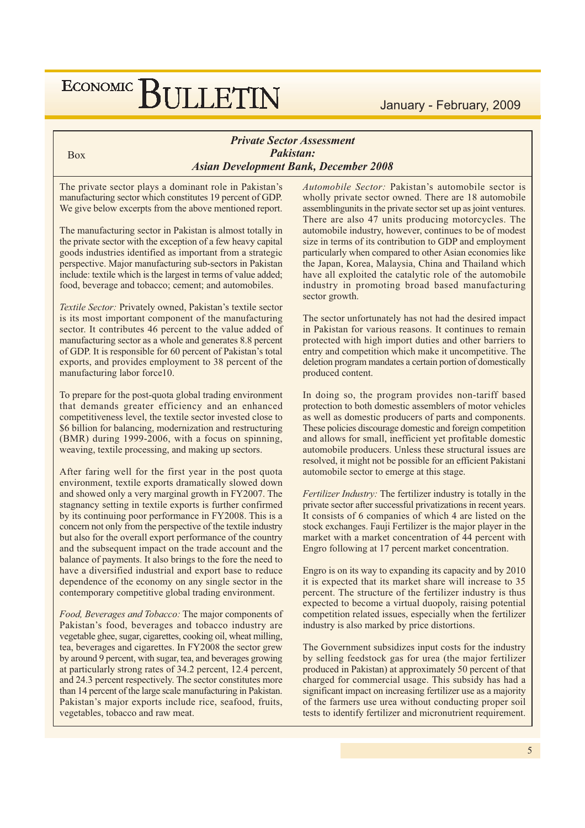#### **Private Sector Assessment** Pakistan: **Asian Development Bank, December 2008**

The private sector plays a dominant role in Pakistan's manufacturing sector which constitutes 19 percent of GDP. We give below excerpts from the above mentioned report.

**Box** 

The manufacturing sector in Pakistan is almost totally in the private sector with the exception of a few heavy capital goods industries identified as important from a strategic perspective. Major manufacturing sub-sectors in Pakistan include: textile which is the largest in terms of value added; food, beverage and tobacco; cement; and automobiles.

Textile Sector: Privately owned, Pakistan's textile sector is its most important component of the manufacturing sector. It contributes 46 percent to the value added of manufacturing sector as a whole and generates 8.8 percent of GDP. It is responsible for 60 percent of Pakistan's total exports, and provides employment to 38 percent of the manufacturing labor force10.

To prepare for the post-quota global trading environment that demands greater efficiency and an enhanced competitiveness level, the textile sector invested close to \$6 billion for balancing, modernization and restructuring (BMR) during 1999-2006, with a focus on spinning, weaving, textile processing, and making up sectors.

After faring well for the first year in the post quota environment, textile exports dramatically slowed down and showed only a very marginal growth in FY2007. The stagnancy setting in textile exports is further confirmed by its continuing poor performance in FY2008. This is a concern not only from the perspective of the textile industry but also for the overall export performance of the country and the subsequent impact on the trade account and the balance of payments. It also brings to the fore the need to have a diversified industrial and export base to reduce dependence of the economy on any single sector in the contemporary competitive global trading environment.

Food, Beverages and Tobacco: The major components of Pakistan's food, beverages and tobacco industry are vegetable ghee, sugar, cigarettes, cooking oil, wheat milling, tea, beverages and cigarettes. In FY2008 the sector grew by around 9 percent, with sugar, tea, and beverages growing at particularly strong rates of 34.2 percent, 12.4 percent, and 24.3 percent respectively. The sector constitutes more than 14 percent of the large scale manufacturing in Pakistan. Pakistan's major exports include rice, seafood, fruits, vegetables, tobacco and raw meat.

Automobile Sector: Pakistan's automobile sector is wholly private sector owned. There are 18 automobile assemblingunits in the private sector set up as joint ventures. There are also 47 units producing motorcycles. The automobile industry, however, continues to be of modest size in terms of its contribution to GDP and employment particularly when compared to other Asian economies like the Japan, Korea, Malaysia, China and Thailand which have all exploited the catalytic role of the automobile industry in promoting broad based manufacturing sector growth.

The sector unfortunately has not had the desired impact in Pakistan for various reasons. It continues to remain protected with high import duties and other barriers to entry and competition which make it uncompetitive. The deletion program mandates a certain portion of domestically produced content.

In doing so, the program provides non-tariff based protection to both domestic assemblers of motor vehicles as well as domestic producers of parts and components. These policies discourage domestic and foreign competition and allows for small, inefficient yet profitable domestic automobile producers. Unless these structural issues are resolved, it might not be possible for an efficient Pakistani automobile sector to emerge at this stage.

*Fertilizer Industry:* The fertilizer industry is totally in the private sector after successful privatizations in recent years. It consists of 6 companies of which 4 are listed on the stock exchanges. Fauji Fertilizer is the major player in the market with a market concentration of 44 percent with Engro following at 17 percent market concentration.

Engro is on its way to expanding its capacity and by 2010 it is expected that its market share will increase to 35 percent. The structure of the fertilizer industry is thus expected to become a virtual duopoly, raising potential competition related issues, especially when the fertilizer industry is also marked by price distortions.

The Government subsidizes input costs for the industry by selling feedstock gas for urea (the major fertilizer produced in Pakistan) at approximately 50 percent of that charged for commercial usage. This subsidy has had a significant impact on increasing fertilizer use as a majority of the farmers use urea without conducting proper soil tests to identify fertilizer and micronutrient requirement.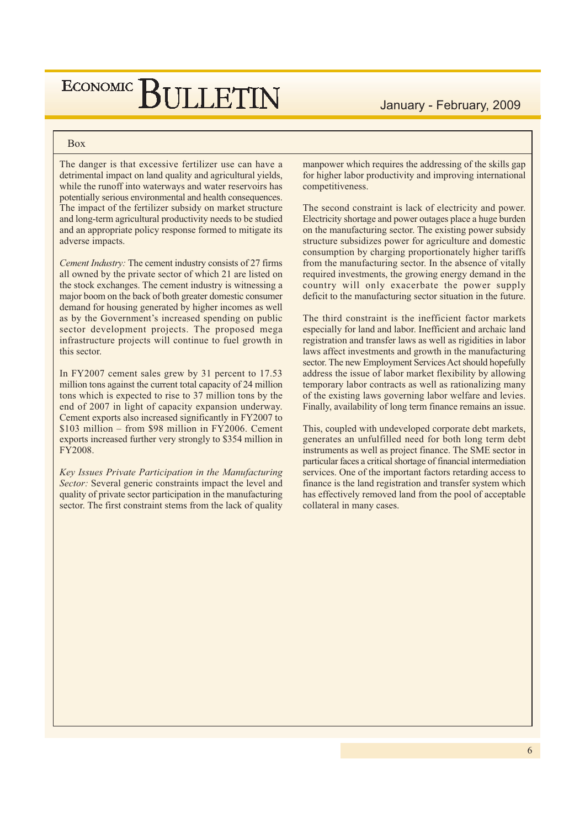## **Box**

The danger is that excessive fertilizer use can have a detrimental impact on land quality and agricultural yields, while the runoff into waterways and water reservoirs has potentially serious environmental and health consequences. The impact of the fertilizer subsidy on market structure and long-term agricultural productivity needs to be studied and an appropriate policy response formed to mitigate its adverse impacts.

ECONOMIC BIILLETIN

Cement Industry: The cement industry consists of 27 firms all owned by the private sector of which 21 are listed on the stock exchanges. The cement industry is witnessing a major boom on the back of both greater domestic consumer demand for housing generated by higher incomes as well as by the Government's increased spending on public sector development projects. The proposed mega infrastructure projects will continue to fuel growth in this sector.

In FY2007 cement sales grew by 31 percent to 17.53 million tons against the current total capacity of 24 million tons which is expected to rise to 37 million tons by the end of 2007 in light of capacity expansion underway. Cement exports also increased significantly in FY2007 to  $$103$  million – from  $$98$  million in FY2006. Cement exports increased further very strongly to \$354 million in FY2008.

Key Issues Private Participation in the Manufacturing Sector: Several generic constraints impact the level and quality of private sector participation in the manufacturing sector. The first constraint stems from the lack of quality manpower which requires the addressing of the skills gap for higher labor productivity and improving international competitiveness.

The second constraint is lack of electricity and power. Electricity shortage and power outages place a huge burden on the manufacturing sector. The existing power subsidy structure subsidizes power for agriculture and domestic consumption by charging proportionately higher tariffs from the manufacturing sector. In the absence of vitally required investments, the growing energy demand in the country will only exacerbate the power supply deficit to the manufacturing sector situation in the future.

The third constraint is the inefficient factor markets especially for land and labor. Inefficient and archaic land registration and transfer laws as well as rigidities in labor laws affect investments and growth in the manufacturing sector. The new Employment Services Act should hopefully address the issue of labor market flexibility by allowing temporary labor contracts as well as rationalizing many of the existing laws governing labor welfare and levies. Finally, availability of long term finance remains an issue.

This, coupled with undeveloped corporate debt markets, generates an unfulfilled need for both long term debt instruments as well as project finance. The SME sector in particular faces a critical shortage of financial intermediation services. One of the important factors retarding access to finance is the land registration and transfer system which has effectively removed land from the pool of acceptable collateral in many cases.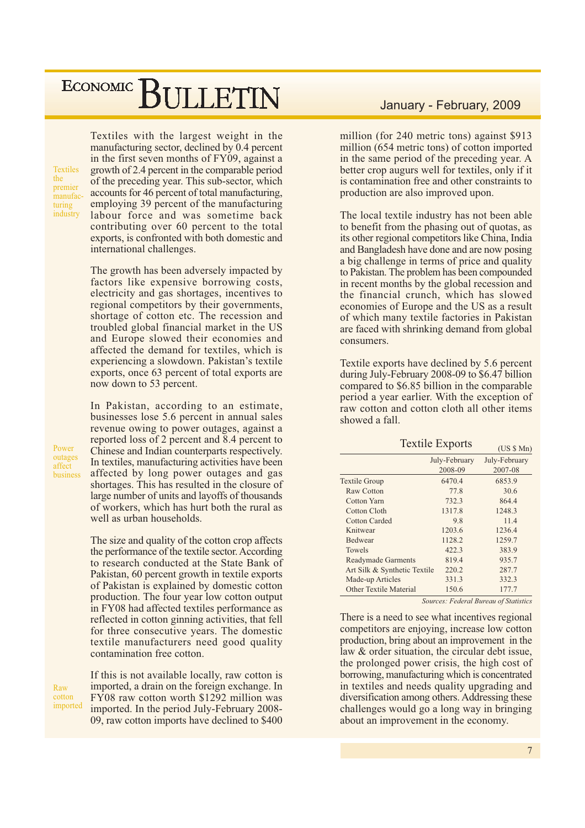**Textiles** the premier manufacturing industry

Textiles with the largest weight in the manufacturing sector, declined by 0.4 percent in the first seven months of FY09, against a growth of 2.4 percent in the comparable period of the preceding year. This sub-sector, which accounts for 46 percent of total manufacturing, employing 39 percent of the manufacturing labour force and was sometime back contributing over 60 percent to the total exports, is confronted with both domestic and international challenges.

The growth has been adversely impacted by factors like expensive borrowing costs, electricity and gas shortages, incentives to regional competitors by their governments, shortage of cotton etc. The recession and troubled global financial market in the US and Europe slowed their economies and affected the demand for textiles, which is experiencing a slowdown. Pakistan's textile exports, once 63 percent of total exports are now down to 53 percent.

In Pakistan, according to an estimate, businesses lose 5.6 percent in annual sales revenue owing to power outages, against a reported loss of 2 percent and 8.4 percent to Chinese and Indian counterparts respectively. In textiles, manufacturing activities have been affected by long power outages and gas shortages. This has resulted in the closure of large number of units and layoffs of thousands of workers, which has hurt both the rural as well as urban households.

The size and quality of the cotton crop affects the performance of the textile sector. According to research conducted at the State Bank of Pakistan, 60 percent growth in textile exports of Pakistan is explained by domestic cotton production. The four year low cotton output in FY08 had affected textiles performance as reflected in cotton ginning activities, that fell for three consecutive years. The domestic textile manufacturers need good quality contamination free cotton.

Raw cotton imported

Power

outages

affect business

> If this is not available locally, raw cotton is imported, a drain on the foreign exchange. In FY08 raw cotton worth \$1292 million was imported. In the period July-February 2008-09, raw cotton imports have declined to \$400

### January - February, 2009

million (for 240 metric tons) against \$913 million (654 metric tons) of cotton imported in the same period of the preceding year. A better crop augurs well for textiles, only if it is contamination free and other constraints to production are also improved upon.

The local textile industry has not been able to benefit from the phasing out of quotas, as its other regional competitors like China, India and Bangladesh have done and are now posing a big challenge in terms of price and quality to Pakistan. The problem has been compounded in recent months by the global recession and the financial crunch, which has slowed economies of Europe and the US as a result of which many textile factories in Pakistan are faced with shrinking demand from global consumers.

Textile exports have declined by 5.6 percent during July-February 2008-09 to \$6.47 billion compared to \$6.85 billion in the comparable period a year earlier. With the exception of raw cotton and cotton cloth all other items showed a fall.

Toytile Exports

|                              | <b>ICALIC EXPOITS</b>    | (US \$ Mn)                                                                                                             |
|------------------------------|--------------------------|------------------------------------------------------------------------------------------------------------------------|
|                              | July-February<br>2008-09 | July-February<br>2007-08                                                                                               |
| <b>Textile Group</b>         | 6470.4                   | 6853.9                                                                                                                 |
| Raw Cotton                   | 77.8                     | 30.6                                                                                                                   |
| Cotton Yarn                  | 732.3                    | 864.4                                                                                                                  |
| Cotton Cloth                 | 1317.8                   | 1248.3                                                                                                                 |
| Cotton Carded                | 9.8                      | 11.4                                                                                                                   |
| Knitwear                     | 1203.6                   | 1236.4                                                                                                                 |
| <b>Bedwear</b>               | 1128.2                   | 1259.7                                                                                                                 |
| Towels                       | 422.3                    | 383.9                                                                                                                  |
| <b>Readymade Garments</b>    | 819.4                    | 935.7                                                                                                                  |
| Art Silk & Synthetic Textile | 220.2                    | 287.7                                                                                                                  |
| Made-up Articles             | 331.3                    | 332.3                                                                                                                  |
| Other Textile Material       | 150.6                    | 177.7                                                                                                                  |
|                              |                          | $\mathcal{C}_{\text{univ}}$ on $\mathcal{C}_{\text{in}}$ and $\mathcal{D}_{\text{univ}}$ on $\mathcal{C}_{\text{out}}$ |

Sources: Federal Bureau of Statistics

There is a need to see what incentives regional competitors are enjoying, increase low cotton production, bring about an improvement in the law & order situation, the circular debt issue, the prolonged power crisis, the high cost of borrowing, manufacturing which is concentrated in textiles and needs quality upgrading and diversification among others. Addressing these challenges would go a long way in bringing about an improvement in the economy.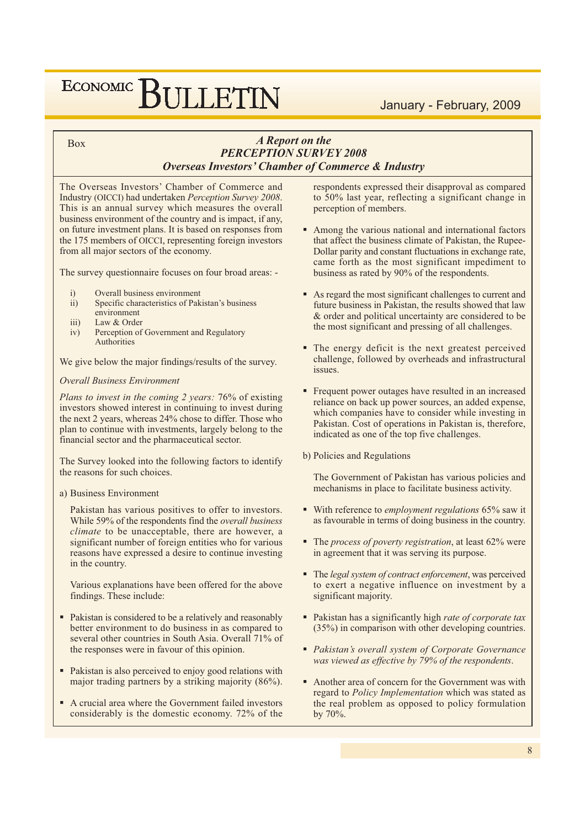### January - February, 2009

#### **Box**

### **A** Report on the **PERCEPTION SURVEY 2008 Overseas Investors' Chamber of Commerce & Industry**

The Overseas Investors' Chamber of Commerce and Industry (OICCI) had undertaken Perception Survey 2008. This is an annual survey which measures the overall business environment of the country and is impact, if any, on future investment plans. It is based on responses from the 175 members of OICCI, representing foreign investors from all major sectors of the economy.

The survey questionnaire focuses on four broad areas: -

- $i)$ Overall business environment
- $ii)$ Specific characteristics of Pakistan's business
- environment
- $iii)$ Law & Order Perception of Government and Regulatory  $iv)$
- Authorities

We give below the major findings/results of the survey.

#### **Overall Business Environment**

Plans to invest in the coming 2 years: 76% of existing investors showed interest in continuing to invest during the next 2 years, whereas 24% chose to differ. Those who plan to continue with investments, largely belong to the financial sector and the pharmaceutical sector.

The Survey looked into the following factors to identify the reasons for such choices.

#### a) Business Environment

Pakistan has various positives to offer to investors. While 59% of the respondents find the overall business *climate* to be unacceptable, there are however, a significant number of foreign entities who for various reasons have expressed a desire to continue investing in the country.

Various explanations have been offered for the above findings. These include:

- Pakistan is considered to be a relatively and reasonably better environment to do business in as compared to several other countries in South Asia. Overall 71% of the responses were in favour of this opinion.
- Pakistan is also perceived to enjoy good relations with major trading partners by a striking majority (86%).
- A crucial area where the Government failed investors considerably is the domestic economy. 72% of the

respondents expressed their disapproval as compared to 50% last year, reflecting a significant change in perception of members.

- Among the various national and international factors that affect the business climate of Pakistan, the Rupee-Dollar parity and constant fluctuations in exchange rate, came forth as the most significant impediment to business as rated by 90% of the respondents.
- As regard the most significant challenges to current and future business in Pakistan, the results showed that law & order and political uncertainty are considered to be the most significant and pressing of all challenges.
- The energy deficit is the next greatest perceived challenge, followed by overheads and infrastructural issues.
- Frequent power outages have resulted in an increased reliance on back up power sources, an added expense, which companies have to consider while investing in Pakistan. Cost of operations in Pakistan is, therefore, indicated as one of the top five challenges.
- b) Policies and Regulations

The Government of Pakistan has various policies and mechanisms in place to facilitate business activity.

- With reference to *employment regulations*  $65\%$  saw it as favourable in terms of doing business in the country.
- $\blacksquare$  The process of poverty registration, at least 62% were in agreement that it was serving its purpose.
- $\blacksquare$  The legal system of contract enforcement, was perceived to exert a negative influence on investment by a significant majority.
- Pakistan has a significantly high *rate of corporate tax* (35%) in comparison with other developing countries.
- Pakistan's overall system of Corporate Governance was viewed as effective by 79% of the respondents.
- Another area of concern for the Government was with regard to Policy Implementation which was stated as the real problem as opposed to policy formulation by 70%.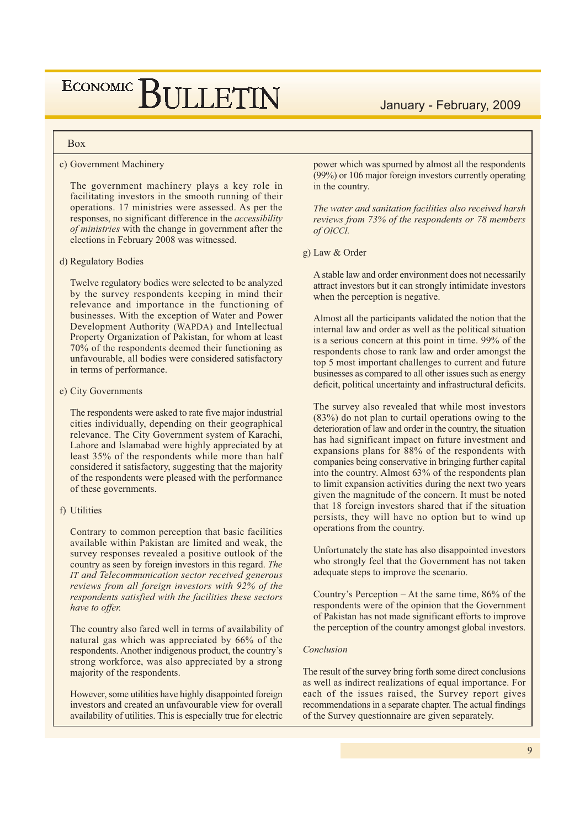# ECONOMIC BIJLETIN

#### **Box**

#### c) Government Machinery

The government machinery plays a key role in facilitating investors in the smooth running of their operations. 17 ministries were assessed. As per the responses, no significant difference in the *accessibility of ministries* with the change in government after the elections in February 2008 was witnessed.

#### d) Regulatory Bodies

Twelve regulatory bodies were selected to be analyzed by the survey respondents keeping in mind their relevance and importance in the functioning of businesses. With the exception of Water and Power Development Authority (WAPDA) and Intellectual Property Organization of Pakistan, for whom at least 70% of the respondents deemed their functioning as unfavourable, all bodies were considered satisfactory in terms of performance.

#### e) City Governments

The respondents were asked to rate five major industrial cities individually, depending on their geographical relevance. The City Government system of Karachi, Lahore and Islamabad were highly appreciated by at least 35% of the respondents while more than half considered it satisfactory, suggesting that the majority of the respondents were pleased with the performance of these governments.

#### f) Utilities

Contrary to common perception that basic facilities available within Pakistan are limited and weak, the survey responses revealed a positive outlook of the country as seen by foreign investors in this regard. The IT and Telecommunication sector received generous reviews from all foreign investors with 92% of the respondents satisfied with the facilities these sectors have to offer.

The country also fared well in terms of availability of natural gas which was appreciated by 66% of the respondents. Another indigenous product, the country's strong workforce, was also appreciated by a strong majority of the respondents.

However, some utilities have highly disappointed foreign investors and created an unfavourable view for overall availability of utilities. This is especially true for electric January - February, 2009

power which was spurned by almost all the respondents (99%) or 106 major foreign investors currently operating in the country.

The water and sanitation facilities also received harsh reviews from 73% of the respondents or 78 members of OICCI.

g) Law & Order

A stable law and order environment does not necessarily attract investors but it can strongly intimidate investors when the perception is negative.

Almost all the participants validated the notion that the internal law and order as well as the political situation is a serious concern at this point in time. 99% of the respondents chose to rank law and order amongst the top 5 most important challenges to current and future businesses as compared to all other issues such as energy deficit, political uncertainty and infrastructural deficits.

The survey also revealed that while most investors  $(83%)$  do not plan to curtail operations owing to the deterioration of law and order in the country, the situation has had significant impact on future investment and expansions plans for 88% of the respondents with companies being conservative in bringing further capital into the country. Almost 63% of the respondents plan to limit expansion activities during the next two years given the magnitude of the concern. It must be noted that 18 foreign investors shared that if the situation persists, they will have no option but to wind up operations from the country.

Unfortunately the state has also disappointed investors who strongly feel that the Government has not taken adequate steps to improve the scenario.

Country's Perception – At the same time,  $86\%$  of the respondents were of the opinion that the Government of Pakistan has not made significant efforts to improve the perception of the country amongst global investors.

#### Conclusion

The result of the survey bring forth some direct conclusions as well as indirect realizations of equal importance. For each of the issues raised, the Survey report gives recommendations in a separate chapter. The actual findings of the Survey questionnaire are given separately.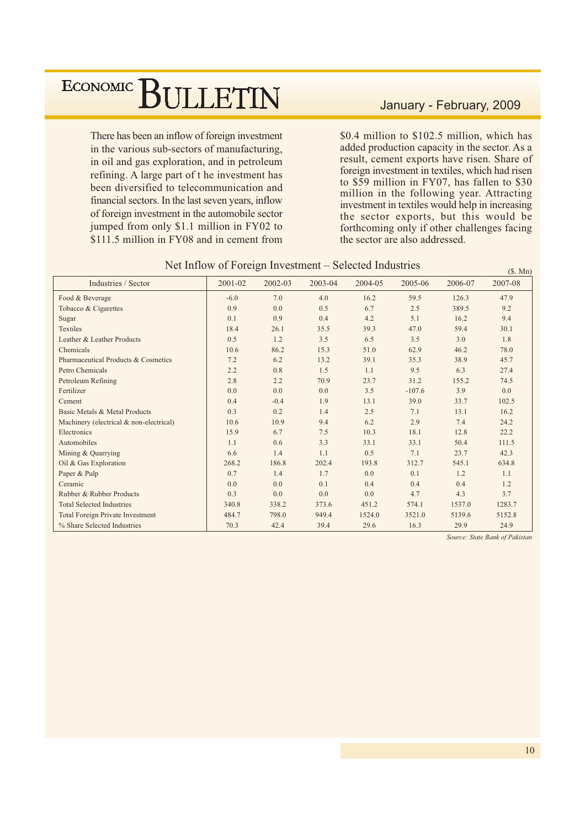There has been an inflow of foreign investment in the various sub-sectors of manufacturing, in oil and gas exploration, and in petroleum refining. A large part of t he investment has been diversified to telecommunication and financial sectors. In the last seven years, inflow of foreign investment in the automobile sector jumped from only \$1.1 million in FY02 to \$111.5 million in FY08 and in cement from

### January - February, 2009

\$0.4 million to \$102.5 million, which has added production capacity in the sector. As a result, cement exports have risen. Share of foreign investment in textiles, which had risen to \$59 million in FY07, has fallen to \$30 million in the following year. Attracting investment in textiles would help in increasing the sector exports, but this would be forthcoming only if other challenges facing the sector are also addressed.

| Industries / Sector                     | 2001-02 | 2002-03 | 2003-04 | 2004-05 | 2005-06  | 2006-07 | 2007-08 |
|-----------------------------------------|---------|---------|---------|---------|----------|---------|---------|
| Food & Beverage                         | $-6.0$  | 7.0     | 4.0     | 16.2    | 59.5     | 126.3   | 47.9    |
| Tobacco & Cigarettes                    | 0.9     | 0.0     | 0.5     | 6.7     | 2.5      | 389.5   | 9.2     |
| Sugar                                   | 0.1     | 0.9     | 0.4     | 4.2     | 5.1      | 16.2    | 9.4     |
| <b>Textiles</b>                         | 18.4    | 26.1    | 35.5    | 39.3    | 47.0     | 59.4    | 30.1    |
| Leather & Leather Products              | 0.5     | 1.2     | 3.5     | 6.5     | 3.5      | 3.0     | 1.8     |
| Chemicals                               | 10.6    | 86.2    | 15.3    | 51.0    | 62.9     | 46.2    | 78.0    |
| Pharmaceutical Products & Cosmetics     | 7.2     | 6.2     | 13.2    | 39.1    | 35.3     | 38.9    | 45.7    |
| Petro Chemicals                         | 2.2     | 0.8     | 1.5     | 1.1     | 9.5      | 6.3     | 27.4    |
| Petroleum Refining                      | 2.8     | 2.2     | 70.9    | 23.7    | 31.2     | 155.2   | 74.5    |
| Fertilizer                              | 0.0     | 0.0     | 0.0     | 3.5     | $-107.6$ | 3.9     | 0.0     |
| Cement                                  | 0.4     | $-0.4$  | 1.9     | 13.1    | 39.0     | 33.7    | 102.5   |
| Basic Metals & Metal Products           | 0.3     | 0.2     | 1.4     | 2.5     | 7.1      | 13.1    | 16.2    |
| Machinery (electrical & non-electrical) | 10.6    | 10.9    | 9.4     | 6.2     | 2.9      | 7.4     | 24.2    |
| Electronics                             | 15.9    | 6.7     | 7.5     | 10.3    | 18.1     | 12.8    | 22.2    |
| Automobiles                             | 1.1     | 0.6     | 3.3     | 33.1    | 33.1     | 50.4    | 111.5   |
| Mining & Quarrying                      | 6.6     | 1.4     | 1.1     | 0.5     | 7.1      | 23.7    | 42.3    |
| Oil & Gas Exploration                   | 268.2   | 186.8   | 202.4   | 193.8   | 312.7    | 545.1   | 634.8   |
| Paper & Pulp                            | 0.7     | 1.4     | 1.7     | 0.0     | 0.1      | 1.2     | 1.1     |
| Ceramic                                 | 0.0     | 0.0     | 0.1     | 0.4     | 0.4      | 0.4     | 1.2     |
| Rubber & Rubber Products                | 0.3     | 0.0     | 0.0     | 0.0     | 4.7      | 4.3     | 3.7     |
| <b>Total Selected Industries</b>        | 340.8   | 338.2   | 373.6   | 451.2   | 574.1    | 1537.0  | 1283.7  |
| <b>Total Foreign Private Investment</b> | 484.7   | 798.0   | 949.4   | 1524.0  | 3521.0   | 5139.6  | 5152.8  |
| % Share Selected Industries             | 70.3    | 42.4    | 39.4    | 29.6    | 16.3     | 29.9    | 24.9    |

#### Net Inflow of Foreign Investment – Selected Industries

Source: State Bank of Pakistan

 $(S. Mn)$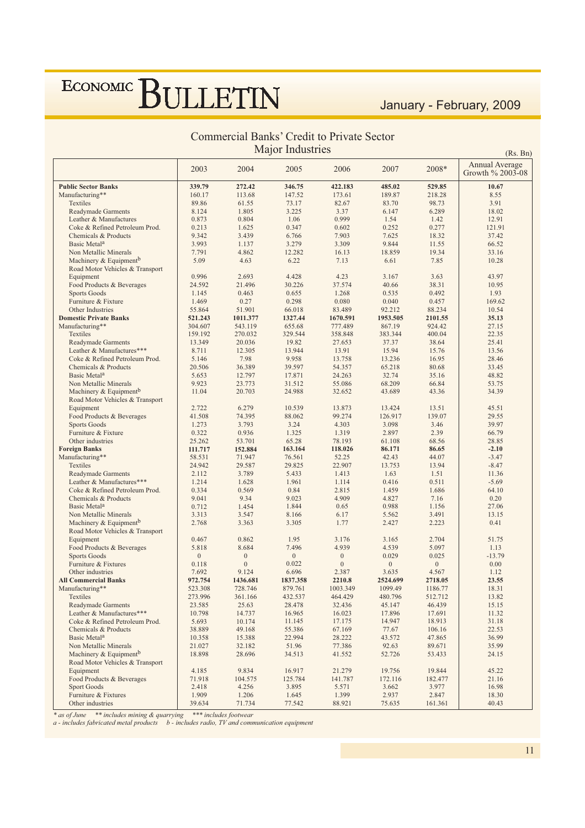## January - February, 2009

### Commercial Banks' Credit to Private Sector Major Industries

| Major Industries<br>(Rs, Bn)                                          |              |                  |                  |                  |                  |              |                                    |  |
|-----------------------------------------------------------------------|--------------|------------------|------------------|------------------|------------------|--------------|------------------------------------|--|
|                                                                       | 2003         | 2004             | 2005             | 2006             | 2007             | 2008*        | Annual Average<br>Growth % 2003-08 |  |
| <b>Public Sector Banks</b>                                            | 339.79       | 272.42           | 346.75           | 422.183          | 485.02           | 529.85       | 10.67                              |  |
| Manufacturing**                                                       | 160.17       | 113.68           | 147.52           | 173.61           | 189.87           | 218.28       | 8.55                               |  |
| Textiles                                                              | 89.86        | 61.55            | 73.17            | 82.67            | 83.70            | 98.73        | 3.91                               |  |
| <b>Readymade Garments</b>                                             | 8.124        | 1.805            | 3.225            | 3.37             | 6.147            | 6.289        | 18.02                              |  |
| Leather & Manufactures                                                | 0.873        | 0.804            | 1.06             | 0.999            | 1.54             | 1.42         | 12.91                              |  |
| Coke & Refined Petroleum Prod.                                        | 0.213        | 1.625            | 0.347            | 0.602            | 0.252            | 0.277        | 121.91                             |  |
| Chemicals & Products                                                  | 9.342        | 3.439            | 6.766            | 7.903            | 7.625            | 18.32        | 37.42                              |  |
| Basic Metal <sup>a</sup>                                              | 3.993        | 1.137            | 3.279            | 3.309            | 9.844            | 11.55        | 66.52                              |  |
| Non Metallic Minerals                                                 | 7.791        | 4.862            | 12.282           | 16.13            | 18.859           | 19.34        | 33.16                              |  |
| Machinery & Equipment <sup>b</sup><br>Road Motor Vehicles & Transport | 5.09         | 4.63             | 6.22             | 7.13             | 6.61             | 7.85         | 10.28                              |  |
| Equipment                                                             | 0.996        | 2.693            | 4.428            | 4.23             | 3.167            | 3.63         | 43.97                              |  |
| Food Products & Beverages                                             | 24.592       | 21.496           | 30.226           | 37.574           | 40.66            | 38.31        | 10.95                              |  |
| <b>Sports Goods</b>                                                   | 1.145        | 0.463            | 0.655            | 1.268            | 0.535            | 0.492        | 1.93                               |  |
| Furniture & Fixture                                                   | 1.469        | 0.27             | 0.298            | 0.080            | 0.040            | 0.457        | 169.62                             |  |
| Other Industries                                                      | 55.864       | 51.901           | 66.018           | 83.489           | 92.212           | 88.234       | 10.54                              |  |
| <b>Domestic Private Banks</b>                                         | 521.243      | 1011.377         | 1327.44          | 1670.591         | 1953.505         | 2101.55      | 35.13                              |  |
| Manufacturing**                                                       | 304.607      | 543.119          | 655.68           | 777.489          | 867.19           | 924.42       | 27.15                              |  |
| Textiles                                                              | 159.192      | 270.032          | 329.544          | 358.848          | 383.344          | 400.04       | 22.35                              |  |
| <b>Readymade Garments</b>                                             | 13.349       | 20.036           | 19.82            | 27.653           | 37.37            | 38.64        | 25.41                              |  |
| Leather & Manufactures***                                             | 8.711        | 12.305           | 13.944           | 13.91            | 15.94            | 15.76        | 13.56                              |  |
| Coke & Refined Petroleum Prod.                                        | 5.146        | 7.98             | 9.958            | 13.758           | 13.236           | 16.95        | 28.46                              |  |
| Chemicals & Products                                                  | 20.506       | 36.389           | 39.597           | 54.357           | 65.218           | 80.68        | 33.45                              |  |
| Basic Metal <sup>a</sup>                                              | 5.653        | 12.797           | 17.871           | 24.263           | 32.74            | 35.16        | 48.82                              |  |
| Non Metallic Minerals                                                 | 9.923        | 23.773           | 31.512           | 55.086           | 68.209           | 66.84        | 53.75                              |  |
| Machinery & Equipment <sup>b</sup>                                    | 11.04        | 20.703           | 24.988           | 32.652           | 43.689           | 43.36        | 34.39                              |  |
| Road Motor Vehicles & Transport                                       |              |                  |                  |                  |                  |              |                                    |  |
| Equipment                                                             | 2.722        | 6.279            | 10.539           | 13.873           | 13.424           | 13.51        | 45.51                              |  |
| Food Products & Beverages                                             | 41.508       | 74.395           | 88.062           | 99.274           | 126.917          | 139.07       | 29.55                              |  |
| Sports Goods                                                          | 1.273        | 3.793            | 3.24             | 4.303            | 3.098            | 3.46         | 39.97                              |  |
| Furniture & Fixture                                                   | 0.322        | 0.936            | 1.325            | 1.319            | 2.897            | 2.39         | 66.79                              |  |
| Other industries                                                      | 25.262       | 53.701           | 65.28            | 78.193           | 61.108           | 68.56        | 28.85                              |  |
| <b>Foreign Banks</b>                                                  | 111.717      | 152.884          | 163.164          | 118.026          | 86.171           | 86.65        | $-2.10$                            |  |
| Manufacturing**                                                       | 58.531       | 71.947           | 76.561           | 52.25            | 42.43            | 44.07        | $-3.47$                            |  |
| Textiles                                                              | 24.942       | 29.587           | 29.825           | 22.907           | 13.753           | 13.94        | $-8.47$                            |  |
| <b>Readymade Garments</b>                                             | 2.112        | 3.789            | 5.433            | 1.413            | 1.63             | 1.51         | 11.36                              |  |
| Leather & Manufactures***                                             | 1.214        | 1.628            | 1.961            | 1.114            | 0.416            | 0.511        | $-5.69$                            |  |
| Coke & Refined Petroleum Prod.                                        | 0.334        | 0.569            | 0.84             | 2.815            | 1.459            | 1.686        | 64.10                              |  |
| Chemicals & Products                                                  | 9.041        | 9.34             | 9.023            | 4.909            | 4.827            | 7.16         | 0.20                               |  |
| Basic Metal <sup>a</sup>                                              | 0.712        | 1.454            | 1.844            | 0.65             | 0.988            | 1.156        | 27.06                              |  |
| Non Metallic Minerals                                                 | 3.313        | 3.547            | 8.166            | 6.17             | 5.562            | 3.491        | 13.15                              |  |
| Machinery & Equipment <sup>b</sup><br>Road Motor Vehicles & Transport | 2.768        | 3.363            | 3.305            | 1.77             | 2.427            | 2.223        | 0.41                               |  |
| Equipment                                                             | 0.467        | 0.862            | 1.95             | 3.176            | 3.165            | 2.704        | 51.75                              |  |
| Food Products & Beverages                                             | 5.818        | 8.684            | 7.496            | 4.939            | 4.539            | 5.097        | 1.13                               |  |
| <b>Sports Goods</b>                                                   | $\mathbf{0}$ | $\mathbf{0}$     | $\boldsymbol{0}$ | $\mathbf{0}$     | 0.029            | 0.025        | $-13.79$                           |  |
| Furniture & Fixtures                                                  | 0.118        | $\boldsymbol{0}$ | 0.022            | $\boldsymbol{0}$ | $\boldsymbol{0}$ | $\mathbf{0}$ | 0.00                               |  |
| Other industries                                                      | 7.692        | 9.124            | 6.696            | 2.387            | 3.635            | 4.567        | 1.12                               |  |
| <b>All Commercial Banks</b>                                           | 972.754      | 1436.681         | 1837.358         | 2210.8           | 2524.699         | 2718.05      | 23.55                              |  |
| Manufacturing**                                                       | 523.308      | 728.746          | 879.761          | 1003.349         | 1099.49          | 1186.77      | 18.31                              |  |
| <b>Textiles</b>                                                       | 273.996      | 361.166          | 432.537          | 464.429          | 480.796          | 512.712      | 13.82                              |  |
| <b>Readymade Garments</b>                                             | 23.585       | 25.63            | 28.478           | 32.436           | 45.147           | 46.439       | 15.15                              |  |
| Leather & Manufactures***                                             | 10.798       | 14.737           | 16.965           | 16.023           | 17.896           | 17.691       | 11.32                              |  |
| Coke & Refined Petroleum Prod.                                        | 5.693        | 10.174           | 11.145           | 17.175           | 14.947           | 18.913       | 31.18                              |  |
| Chemicals & Products                                                  | 38.889       | 49.168           | 55.386           | 67.169           | 77.67            | 106.16       | 22.53                              |  |
| Basic Metal <sup>a</sup>                                              | 10.358       | 15.388           | 22.994           | 28.222           | 43.572           | 47.865       | 36.99                              |  |
| Non Metallic Minerals                                                 | 21.027       | 32.182           | 51.96            | 77.386           | 92.63            | 89.671       | 35.99                              |  |
| Machinery & Equipment <sup>b</sup><br>Road Motor Vehicles & Transport | 18.898       | 28.696           | 34.513           | 41.552           | 52.726           | 53.433       | 24.15                              |  |
| Equipment                                                             | 4.185        | 9.834            | 16.917           | 21.279           | 19.756           | 19.844       | 45.22                              |  |
| Food Products & Beverages                                             | 71.918       | 104.575          | 125.784          | 141.787          | 172.116          | 182.477      | 21.16                              |  |
| <b>Sport Goods</b>                                                    | 2.418        | 4.256            | 3.895            | 5.571            | 3.662            | 3.977        | 16.98                              |  |
| Furniture & Fixtures                                                  | 1.909        | 1.206            | 1.645            | 1.399            | 2.937            | 2.847        | 18.30                              |  |
| Other industries                                                      | 39.634       | 71.734           | 77.542           | 88.921           | 75.635           | 161.361      | 40.43                              |  |

\* as of June \*\* includes mining & quarrying \*\*\* includes footwear<br>a - includes fabricated metal products b - includes radio, TV and communication equipment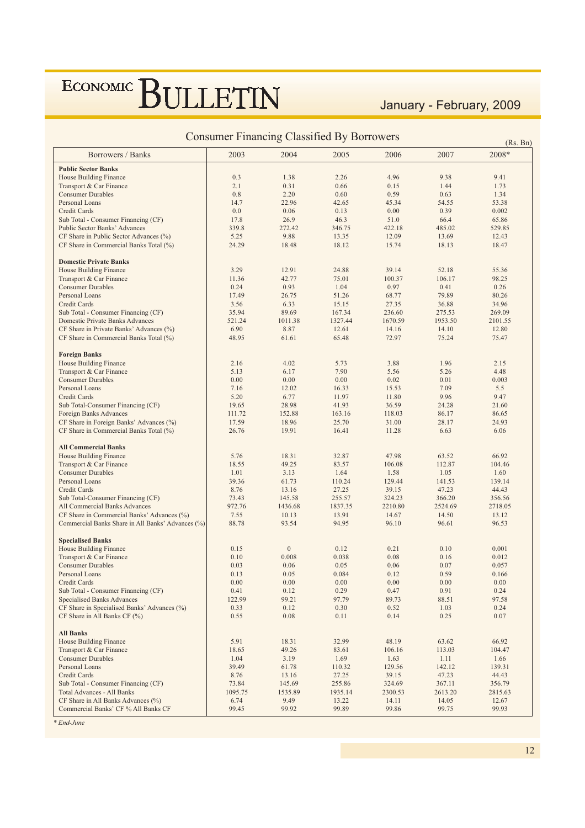### January - February, 2009

| <b>Consumer Financing Classified By Borrowers</b><br>(Rs. Bn) |         |                  |         |         |         |         |  |  |  |
|---------------------------------------------------------------|---------|------------------|---------|---------|---------|---------|--|--|--|
| Borrowers / Banks                                             | 2003    | 2004             | 2005    | 2006    | 2007    | 2008*   |  |  |  |
| <b>Public Sector Banks</b>                                    |         |                  |         |         |         |         |  |  |  |
| House Building Finance                                        | 0.3     | 1.38             | 2.26    | 4.96    | 9.38    | 9.41    |  |  |  |
| Transport & Car Finance                                       | 2.1     | 0.31             | 0.66    | 0.15    | 1.44    | 1.73    |  |  |  |
| <b>Consumer Durables</b>                                      | 0.8     | 2.20             | 0.60    | 0.59    | 0.63    | 1.34    |  |  |  |
| Personal Loans                                                | 14.7    | 22.96            | 42.65   | 45.34   | 54.55   | 53.38   |  |  |  |
| Credit Cards                                                  | 0.0     | 0.06             | 0.13    | 0.00    | 0.39    | 0.002   |  |  |  |
| Sub Total - Consumer Financing (CF)                           | 17.8    | 26.9             | 46.3    | 51.0    | 66.4    | 65.86   |  |  |  |
| Public Sector Banks' Advances                                 | 339.8   | 272.42           | 346.75  | 422.18  | 485.02  | 529.85  |  |  |  |
| CF Share in Public Sector Advances (%)                        | 5.25    | 9.88             | 13.35   | 12.09   | 13.69   | 12.43   |  |  |  |
| CF Share in Commercial Banks Total (%)                        | 24.29   | 18.48            | 18.12   | 15.74   | 18.13   | 18.47   |  |  |  |
| <b>Domestic Private Banks</b>                                 |         |                  |         |         |         |         |  |  |  |
| House Building Finance                                        | 3.29    | 12.91            | 24.88   | 39.14   | 52.18   | 55.36   |  |  |  |
| Transport & Car Finance                                       | 11.36   | 42.77            | 75.01   | 100.37  | 106.17  | 98.25   |  |  |  |
| <b>Consumer Durables</b>                                      | 0.24    | 0.93             | 1.04    | 0.97    | 0.41    | 0.26    |  |  |  |
| Personal Loans                                                | 17.49   | 26.75            | 51.26   | 68.77   | 79.89   | 80.26   |  |  |  |
| Credit Cards                                                  | 3.56    | 6.33             | 15.15   | 27.35   | 36.88   | 34.96   |  |  |  |
| Sub Total - Consumer Financing (CF)                           | 35.94   | 89.69            | 167.34  | 236.60  | 275.53  | 269.09  |  |  |  |
| Domestic Private Banks Advances                               | 521.24  | 1011.38          | 1327.44 | 1670.59 | 1953.50 | 2101.55 |  |  |  |
| CF Share in Private Banks' Advances (%)                       | 6.90    | 8.87             | 12.61   | 14.16   | 14.10   | 12.80   |  |  |  |
| CF Share in Commercial Banks Total (%)                        | 48.95   | 61.61            | 65.48   | 72.97   | 75.24   | 75.47   |  |  |  |
| <b>Foreign Banks</b>                                          |         |                  |         |         |         |         |  |  |  |
| House Building Finance                                        | 2.16    | 4.02             | 5.73    | 3.88    | 1.96    | 2.15    |  |  |  |
| Transport & Car Finance                                       | 5.13    | 6.17             | 7.90    | 5.56    | 5.26    | 4.48    |  |  |  |
| <b>Consumer Durables</b>                                      | 0.00    | 0.00             | 0.00    | 0.02    | 0.01    | 0.003   |  |  |  |
| Personal Loans                                                | 7.16    | 12.02            | 16.33   | 15.53   | 7.09    | 5.5     |  |  |  |
| Credit Cards                                                  | 5.20    | 6.77             | 11.97   | 11.80   | 9.96    | 9.47    |  |  |  |
| Sub Total-Consumer Financing (CF)                             | 19.65   | 28.98            | 41.93   | 36.59   | 24.28   | 21.60   |  |  |  |
| Foreign Banks Advances                                        | 111.72  | 152.88           | 163.16  | 118.03  | 86.17   | 86.65   |  |  |  |
| CF Share in Foreign Banks' Advances (%)                       | 17.59   | 18.96            | 25.70   | 31.00   | 28.17   | 24.93   |  |  |  |
| CF Share in Commercial Banks Total (%)                        | 26.76   | 19.91            | 16.41   | 11.28   | 6.63    | 6.06    |  |  |  |
| <b>All Commercial Banks</b>                                   |         |                  |         |         |         |         |  |  |  |
| House Building Finance                                        | 5.76    | 18.31            | 32.87   | 47.98   | 63.52   | 66.92   |  |  |  |
| Transport & Car Finance                                       | 18.55   | 49.25            | 83.57   | 106.08  | 112.87  | 104.46  |  |  |  |
| <b>Consumer Durables</b>                                      | 1.01    | 3.13             | 1.64    | 1.58    | 1.05    | 1.60    |  |  |  |
| Personal Loans                                                | 39.36   | 61.73            | 110.24  | 129.44  | 141.53  | 139.14  |  |  |  |
| Credit Cards                                                  | 8.76    | 13.16            | 27.25   | 39.15   | 47.23   | 44.43   |  |  |  |
| Sub Total-Consumer Financing (CF)                             | 73.43   | 145.58           | 255.57  | 324.23  | 366.20  | 356.56  |  |  |  |
| All Commercial Banks Advances                                 | 972.76  | 1436.68          | 1837.35 | 2210.80 | 2524.69 | 2718.05 |  |  |  |
| CF Share in Commercial Banks' Advances (%)                    | 7.55    | 10.13            | 13.91   | 14.67   | 14.50   | 13.12   |  |  |  |
| Commercial Banks Share in All Banks' Advances (%)             | 88.78   | 93.54            | 94.95   | 96.10   | 96.61   | 96.53   |  |  |  |
| <b>Specialised Banks</b>                                      |         |                  |         |         |         |         |  |  |  |
| House Building Finance                                        | 0.15    | $\boldsymbol{0}$ | 0.12    | 0.21    | 0.10    | 0.001   |  |  |  |
| Transport & Car Finance                                       | 0.10    | 0.008            | 0.038   | 0.08    | 0.16    | 0.012   |  |  |  |
| <b>Consumer Durables</b>                                      | 0.03    | 0.06             | 0.05    | 0.06    | 0.07    | 0.057   |  |  |  |
| Personal Loans                                                | 0.13    | 0.05             | 0.084   | 0.12    | 0.59    | 0.166   |  |  |  |
| Credit Cards                                                  | 0.00    | 0.00             | 0.00    | 0.00    | 0.00    | 0.00    |  |  |  |
| Sub Total - Consumer Financing (CF)                           | 0.41    | 0.12             | 0.29    | 0.47    | 0.91    | 0.24    |  |  |  |
| <b>Specialised Banks Advances</b>                             | 122.99  | 99.21            | 97.79   | 89.73   | 88.51   | 97.58   |  |  |  |
| CF Share in Specialised Banks' Advances (%)                   | 0.33    | 0.12             | 0.30    | 0.52    | 1.03    | 0.24    |  |  |  |
| CF Share in All Banks CF (%)                                  | 0.55    | 0.08             | 0.11    | 0.14    | 0.25    | 0.07    |  |  |  |
| <b>All Banks</b>                                              |         |                  |         |         |         |         |  |  |  |
| <b>House Building Finance</b>                                 | 5.91    | 18.31            | 32.99   | 48.19   | 63.62   | 66.92   |  |  |  |
| Transport & Car Finance                                       | 18.65   | 49.26            | 83.61   | 106.16  | 113.03  | 104.47  |  |  |  |
| <b>Consumer Durables</b>                                      | 1.04    | 3.19             | 1.69    | 1.63    | 1.11    | 1.66    |  |  |  |
| Personal Loans                                                | 39.49   | 61.78            | 110.32  | 129.56  | 142.12  | 139.31  |  |  |  |
| Credit Cards                                                  | 8.76    | 13.16            | 27.25   | 39.15   | 47.23   | 44.43   |  |  |  |
| Sub Total - Consumer Financing (CF)                           | 73.84   | 145.69           | 255.86  | 324.69  | 367.11  | 356.79  |  |  |  |
| <b>Total Advances - All Banks</b>                             | 1095.75 | 1535.89          | 1935.14 | 2300.53 | 2613.20 | 2815.63 |  |  |  |
| CF Share in All Banks Advances (%)                            | 6.74    | 9.49             | 13.22   | 14.11   | 14.05   | 12.67   |  |  |  |
| Commercial Banks' CF % All Banks CF                           | 99.45   | 99.92            | 99.89   | 99.86   | 99.75   | 99.93   |  |  |  |

 $*$ *End-June*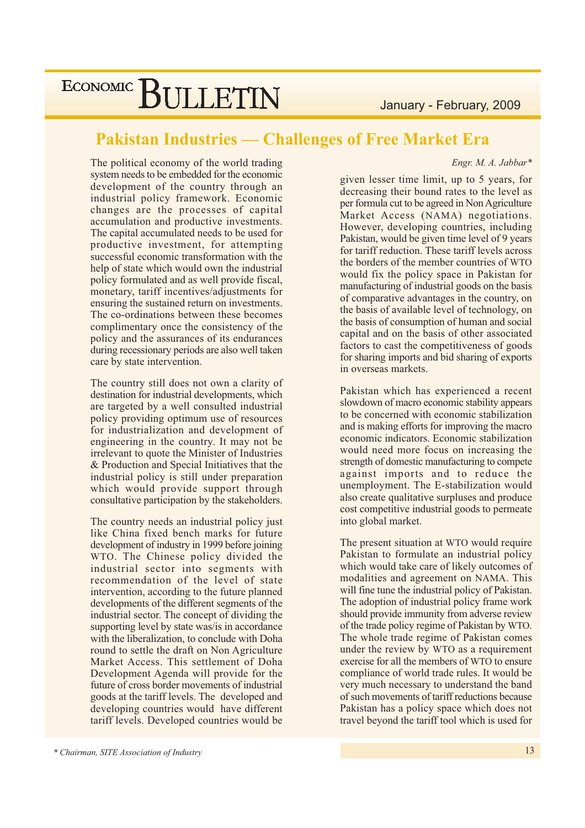January - February, 2009

### **Pakistan Industries — Challenges of Free Market Era**

Engr. M. A. Jabbar\*

The political economy of the world trading system needs to be embedded for the economic development of the country through an industrial policy framework. Economic changes are the processes of capital accumulation and productive investments. The capital accumulated needs to be used for productive investment, for attempting successful economic transformation with the help of state which would own the industrial policy formulated and as well provide fiscal, monetary, tariff incentives/adjustments for ensuring the sustained return on investments. The co-ordinations between these becomes complimentary once the consistency of the policy and the assurances of its endurances during recessionary periods are also well taken care by state intervention.

The country still does not own a clarity of destination for industrial developments, which are targeted by a well consulted industrial policy providing optimum use of resources for industrialization and development of engineering in the country. It may not be irrelevant to quote the Minister of Industries & Production and Special Initiatives that the industrial policy is still under preparation which would provide support through consultative participation by the stakeholders.

The country needs an industrial policy just like China fixed bench marks for future development of industry in 1999 before joining WTO. The Chinese policy divided the industrial sector into segments with recommendation of the level of state intervention, according to the future planned developments of the different segments of the industrial sector. The concept of dividing the supporting level by state was/is in accordance with the liberalization, to conclude with Doha round to settle the draft on Non Agriculture Market Access. This settlement of Doha Development Agenda will provide for the future of cross border movements of industrial goods at the tariff levels. The developed and developing countries would have different tariff levels. Developed countries would be

given lesser time limit, up to 5 years, for decreasing their bound rates to the level as per formula cut to be agreed in Non Agriculture Market Access (NAMA) negotiations. However, developing countries, including Pakistan, would be given time level of 9 years for tariff reduction. These tariff levels across the borders of the member countries of WTO would fix the policy space in Pakistan for manufacturing of industrial goods on the basis of comparative advantages in the country, on the basis of available level of technology, on the basis of consumption of human and social capital and on the basis of other associated factors to cast the competitiveness of goods for sharing imports and bid sharing of exports in overseas markets.

Pakistan which has experienced a recent slowdown of macro economic stability appears to be concerned with economic stabilization and is making efforts for improving the macro economic indicators. Economic stabilization would need more focus on increasing the strength of domestic manufacturing to compete against imports and to reduce the unemployment. The E-stabilization would also create qualitative surpluses and produce cost competitive industrial goods to permeate into global market.

The present situation at WTO would require Pakistan to formulate an industrial policy which would take care of likely outcomes of modalities and agreement on NAMA. This will fine tune the industrial policy of Pakistan. The adoption of industrial policy frame work should provide immunity from adverse review of the trade policy regime of Pakistan by WTO. The whole trade regime of Pakistan comes under the review by WTO as a requirement exercise for all the members of WTO to ensure compliance of world trade rules. It would be very much necessary to understand the band of such movements of tariff reductions because Pakistan has a policy space which does not travel beyond the tariff tool which is used for

<sup>\*</sup> Chairman, SITE Association of Industry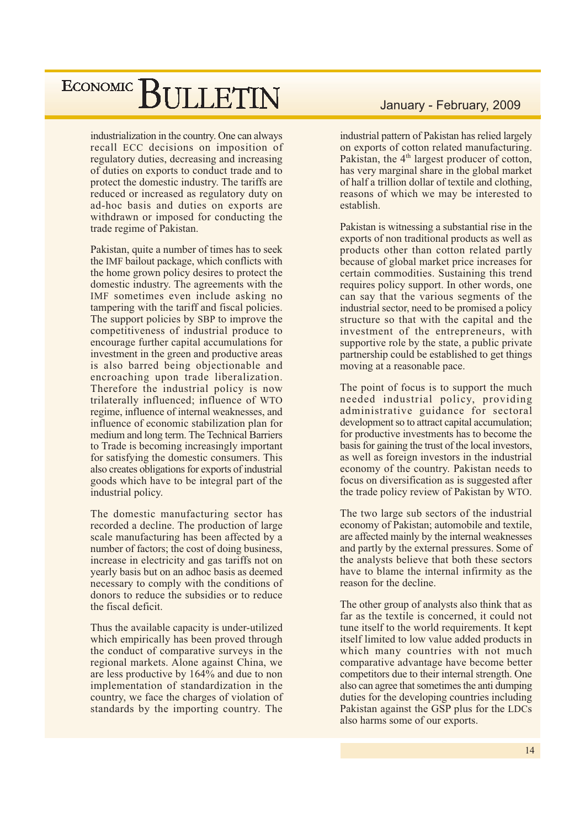industrialization in the country. One can always recall ECC decisions on imposition of regulatory duties, decreasing and increasing of duties on exports to conduct trade and to protect the domestic industry. The tariffs are reduced or increased as regulatory duty on ad-hoc basis and duties on exports are withdrawn or imposed for conducting the trade regime of Pakistan.

Pakistan, quite a number of times has to seek the IMF bailout package, which conflicts with the home grown policy desires to protect the domestic industry. The agreements with the IMF sometimes even include asking no tampering with the tariff and fiscal policies. The support policies by SBP to improve the competitiveness of industrial produce to encourage further capital accumulations for investment in the green and productive areas is also barred being objectionable and encroaching upon trade liberalization. Therefore the industrial policy is now trilaterally influenced; influence of WTO regime, influence of internal weaknesses, and influence of economic stabilization plan for medium and long term. The Technical Barriers to Trade is becoming increasingly important for satisfying the domestic consumers. This also creates obligations for exports of industrial goods which have to be integral part of the industrial policy.

The domestic manufacturing sector has recorded a decline. The production of large scale manufacturing has been affected by a number of factors; the cost of doing business, increase in electricity and gas tariffs not on yearly basis but on an adhoc basis as deemed necessary to comply with the conditions of donors to reduce the subsidies or to reduce the fiscal deficit.

Thus the available capacity is under-utilized which empirically has been proved through the conduct of comparative surveys in the regional markets. Alone against China, we are less productive by 164% and due to non implementation of standardization in the country, we face the charges of violation of standards by the importing country. The

### January - February, 2009

industrial pattern of Pakistan has relied largely on exports of cotton related manufacturing. Pakistan, the 4<sup>th</sup> largest producer of cotton, has very marginal share in the global market of half a trillion dollar of textile and clothing, reasons of which we may be interested to establish.

Pakistan is witnessing a substantial rise in the exports of non traditional products as well as products other than cotton related partly because of global market price increases for certain commodities. Sustaining this trend requires policy support. In other words, one can say that the various segments of the industrial sector, need to be promised a policy structure so that with the capital and the investment of the entrepreneurs, with supportive role by the state, a public private partnership could be established to get things moving at a reasonable pace.

The point of focus is to support the much needed industrial policy, providing administrative guidance for sectoral development so to attract capital accumulation; for productive investments has to become the basis for gaining the trust of the local investors, as well as foreign investors in the industrial economy of the country. Pakistan needs to focus on diversification as is suggested after the trade policy review of Pakistan by WTO.

The two large sub sectors of the industrial economy of Pakistan; automobile and textile, are affected mainly by the internal weaknesses and partly by the external pressures. Some of the analysts believe that both these sectors have to blame the internal infirmity as the reason for the decline.

The other group of analysts also think that as far as the textile is concerned, it could not tune itself to the world requirements. It kept itself limited to low value added products in which many countries with not much comparative advantage have become better competitors due to their internal strength. One also can agree that sometimes the anti-dumping duties for the developing countries including Pakistan against the GSP plus for the LDCs also harms some of our exports.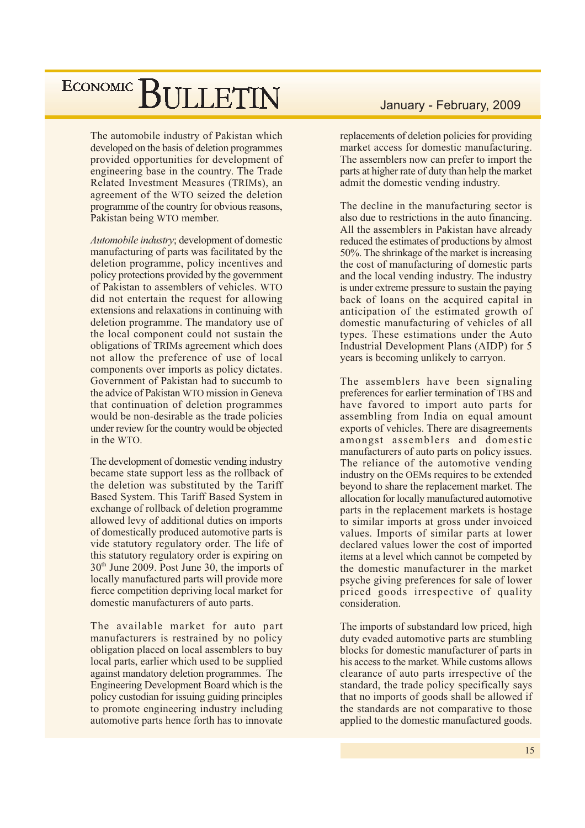The automobile industry of Pakistan which developed on the basis of deletion programmes provided opportunities for development of engineering base in the country. The Trade Related Investment Measures (TRIMs), an agreement of the WTO seized the deletion programme of the country for obvious reasons, Pakistan being WTO member.

Automobile industry; development of domestic manufacturing of parts was facilitated by the deletion programme, policy incentives and policy protections provided by the government of Pakistan to assemblers of vehicles. WTO did not entertain the request for allowing extensions and relaxations in continuing with deletion programme. The mandatory use of the local component could not sustain the obligations of TRIMs agreement which does not allow the preference of use of local components over imports as policy dictates. Government of Pakistan had to succumb to the advice of Pakistan WTO mission in Geneva that continuation of deletion programmes would be non-desirable as the trade policies under review for the country would be objected in the WTO.

The development of domestic vending industry became state support less as the rollback of the deletion was substituted by the Tariff Based System. This Tariff Based System in exchange of rollback of deletion programme allowed levy of additional duties on imports of domestically produced automotive parts is vide statutory regulatory order. The life of this statutory regulatory order is expiring on 30<sup>th</sup> June 2009. Post June 30, the imports of locally manufactured parts will provide more fierce competition depriving local market for domestic manufacturers of auto parts.

The available market for auto part manufacturers is restrained by no policy obligation placed on local assemblers to buy local parts, earlier which used to be supplied against mandatory deletion programmes. The Engineering Development Board which is the policy custodian for issuing guiding principles to promote engineering industry including automotive parts hence forth has to innovate

### January - February, 2009

replacements of deletion policies for providing market access for domestic manufacturing. The assemblers now can prefer to import the parts at higher rate of duty than help the market admit the domestic vending industry.

The decline in the manufacturing sector is also due to restrictions in the auto financing. All the assemblers in Pakistan have already reduced the estimates of productions by almost 50%. The shrinkage of the market is increasing the cost of manufacturing of domestic parts and the local vending industry. The industry is under extreme pressure to sustain the paying back of loans on the acquired capital in anticipation of the estimated growth of domestic manufacturing of vehicles of all types. These estimations under the Auto Industrial Development Plans (AIDP) for 5 years is becoming unlikely to carryon.

The assemblers have been signaling preferences for earlier termination of TBS and have favored to import auto parts for assembling from India on equal amount exports of vehicles. There are disagreements amongst assemblers and domestic manufacturers of auto parts on policy issues. The reliance of the automotive vending industry on the OEMs requires to be extended beyond to share the replacement market. The allocation for locally manufactured automotive parts in the replacement markets is hostage to similar imports at gross under invoiced values. Imports of similar parts at lower declared values lower the cost of imported items at a level which cannot be competed by the domestic manufacturer in the market psyche giving preferences for sale of lower priced goods irrespective of quality consideration.

The imports of substandard low priced, high duty evaded automotive parts are stumbling blocks for domestic manufacturer of parts in his access to the market. While customs allows clearance of auto parts irrespective of the standard, the trade policy specifically says that no imports of goods shall be allowed if the standards are not comparative to those applied to the domestic manufactured goods.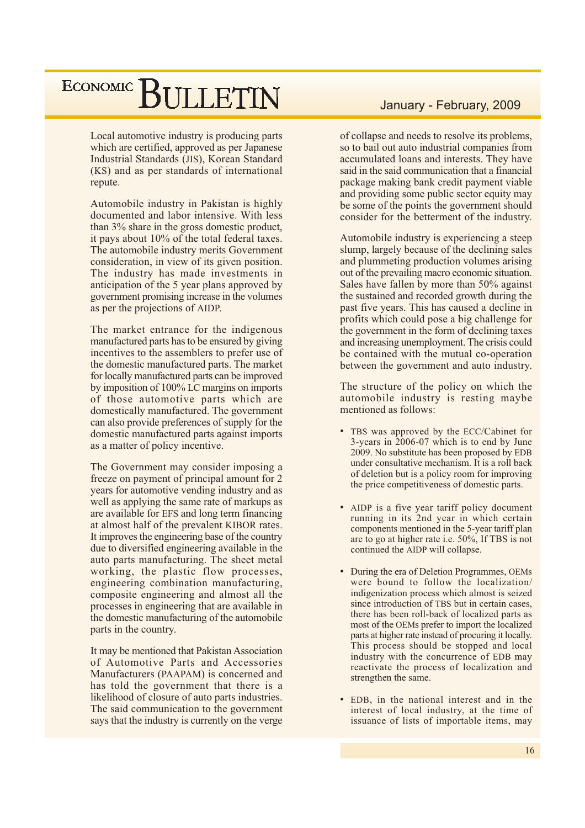Local automotive industry is producing parts which are certified, approved as per Japanese Industrial Standards (JIS), Korean Standard (KS) and as per standards of international repute.

Automobile industry in Pakistan is highly documented and labor intensive. With less than 3% share in the gross domestic product, it pays about 10% of the total federal taxes. The automobile industry merits Government consideration, in view of its given position. The industry has made investments in anticipation of the 5 year plans approved by government promising increase in the volumes as per the projections of AIDP.

The market entrance for the indigenous manufactured parts has to be ensured by giving incentives to the assemblers to prefer use of the domestic manufactured parts. The market for locally manufactured parts can be improved by imposition of 100% LC margins on imports of those automotive parts which are domestically manufactured. The government can also provide preferences of supply for the domestic manufactured parts against imports as a matter of policy incentive.

The Government may consider imposing a freeze on payment of principal amount for 2 years for automotive vending industry and as well as applying the same rate of markups as are available for EFS and long term financing at almost half of the prevalent KIBOR rates. It improves the engineering base of the country due to diversified engineering available in the auto parts manufacturing. The sheet metal working, the plastic flow processes, engineering combination manufacturing, composite engineering and almost all the processes in engineering that are available in the domestic manufacturing of the automobile parts in the country.

It may be mentioned that Pakistan Association of Automotive Parts and Accessories Manufacturers (PAAPAM) is concerned and has told the government that there is a likelihood of closure of auto parts industries. The said communication to the government says that the industry is currently on the verge

### January - February, 2009

of collapse and needs to resolve its problems, so to bail out auto industrial companies from accumulated loans and interests. They have said in the said communication that a financial package making bank credit payment viable and providing some public sector equity may be some of the points the government should consider for the betterment of the industry.

Automobile industry is experiencing a steep slump, largely because of the declining sales and plummeting production volumes arising out of the prevailing macro economic situation. Sales have fallen by more than 50% against the sustained and recorded growth during the past five years. This has caused a decline in profits which could pose a big challenge for the government in the form of declining taxes and increasing unemployment. The crisis could be contained with the mutual co-operation between the government and auto industry.

The structure of the policy on which the automobile industry is resting maybe mentioned as follows:

- TBS was approved by the ECC/Cabinet for 3-years in 2006-07 which is to end by June 2009. No substitute has been proposed by EDB under consultative mechanism. It is a roll back of deletion but is a policy room for improving the price competitiveness of domestic parts.
- AIDP is a five year tariff policy document running in its 2nd year in which certain components mentioned in the 5-year tariff plan are to go at higher rate i.e. 50%, If TBS is not continued the AIDP will collapse.
- During the era of Deletion Programmes, OEMs were bound to follow the localization/ indigenization process which almost is seized since introduction of TBS but in certain cases, there has been roll-back of localized parts as most of the OEMs prefer to import the localized parts at higher rate instead of procuring it locally. This process should be stopped and local industry with the concurrence of EDB may reactivate the process of localization and strengthen the same.
- EDB, in the national interest and in the interest of local industry, at the time of issuance of lists of importable items, may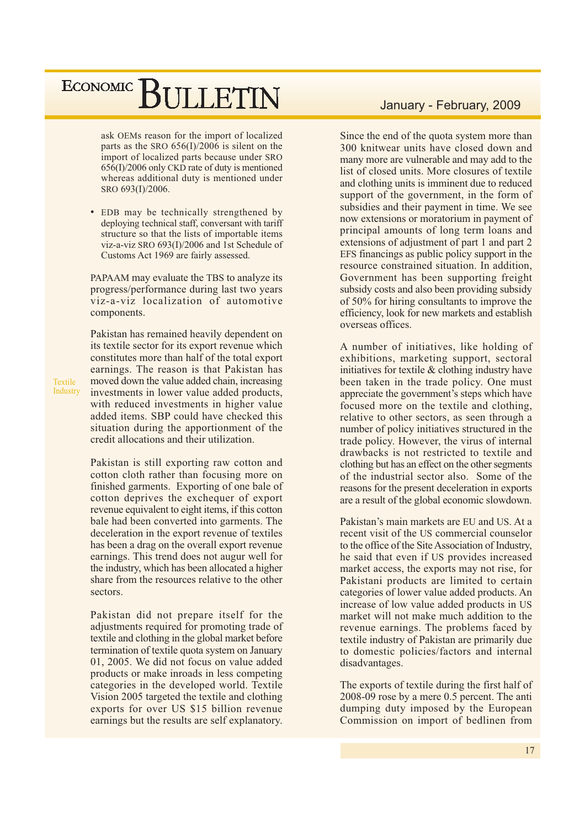ask OEMs reason for the import of localized parts as the SRO  $656(I)/2006$  is silent on the import of localized parts because under SRO 656(I)/2006 only CKD rate of duty is mentioned whereas additional duty is mentioned under SRO 693(I)/2006.

• EDB may be technically strengthened by deploying technical staff, conversant with tariff structure so that the lists of importable items viz-a-viz SRO 693(I)/2006 and 1st Schedule of Customs Act 1969 are fairly assessed.

PAPAAM may evaluate the TBS to analyze its progress/performance during last two years viz-a-viz localization of automotive components.

Pakistan has remained heavily dependent on its textile sector for its export revenue which constitutes more than half of the total export earnings. The reason is that Pakistan has moved down the value added chain, increasing investments in lower value added products, with reduced investments in higher value added items. SBP could have checked this situation during the apportionment of the credit allocations and their utilization.

Pakistan is still exporting raw cotton and cotton cloth rather than focusing more on finished garments. Exporting of one bale of cotton deprives the exchequer of export revenue equivalent to eight items, if this cotton bale had been converted into garments. The deceleration in the export revenue of textiles has been a drag on the overall export revenue earnings. This trend does not augur well for the industry, which has been allocated a higher share from the resources relative to the other sectors

Pakistan did not prepare itself for the adjustments required for promoting trade of textile and clothing in the global market before termination of textile quota system on January 01, 2005. We did not focus on value added products or make inroads in less competing categories in the developed world. Textile Vision 2005 targeted the textile and clothing exports for over US \$15 billion revenue earnings but the results are self explanatory.

### January - February, 2009

Since the end of the quota system more than 300 knitwear units have closed down and many more are vulnerable and may add to the list of closed units. More closures of textile and clothing units is imminent due to reduced support of the government, in the form of subsidies and their payment in time. We see now extensions or moratorium in payment of principal amounts of long term loans and extensions of adjustment of part 1 and part 2 EFS financings as public policy support in the resource constrained situation. In addition, Government has been supporting freight subsidy costs and also been providing subsidy of 50% for hiring consultants to improve the efficiency, look for new markets and establish overseas offices.

A number of initiatives, like holding of exhibitions, marketing support, sectoral initiatives for textile  $&$  clothing industry have been taken in the trade policy. One must appreciate the government's steps which have focused more on the textile and clothing. relative to other sectors, as seen through a number of policy initiatives structured in the trade policy. However, the virus of internal drawbacks is not restricted to textile and clothing but has an effect on the other segments of the industrial sector also. Some of the reasons for the present deceleration in exports are a result of the global economic slowdown.

Pakistan's main markets are EU and US. At a recent visit of the US commercial counselor to the office of the Site Association of Industry, he said that even if US provides increased market access, the exports may not rise, for Pakistani products are limited to certain categories of lower value added products. An increase of low value added products in US market will not make much addition to the revenue earnings. The problems faced by textile industry of Pakistan are primarily due to domestic policies/factors and internal disadvantages.

The exports of textile during the first half of 2008-09 rose by a mere 0.5 percent. The anti dumping duty imposed by the European Commission on import of bedlinen from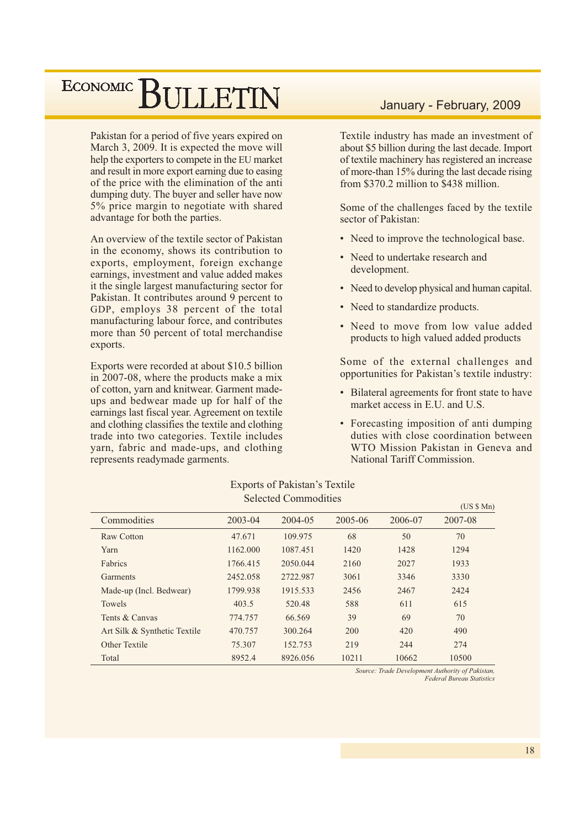Pakistan for a period of five years expired on March 3, 2009. It is expected the move will help the exporters to compete in the EU market and result in more export earning due to easing of the price with the elimination of the anti dumping duty. The buyer and seller have now 5% price margin to negotiate with shared advantage for both the parties.

An overview of the textile sector of Pakistan in the economy, shows its contribution to exports, employment, foreign exchange earnings, investment and value added makes it the single largest manufacturing sector for Pakistan. It contributes around 9 percent to GDP, employs 38 percent of the total manufacturing labour force, and contributes more than 50 percent of total merchandise exports.

Exports were recorded at about \$10.5 billion in 2007-08, where the products make a mix of cotton, yarn and knitwear. Garment madeups and bedwear made up for half of the earnings last fiscal year. Agreement on textile and clothing classifies the textile and clothing trade into two categories. Textile includes varn, fabric and made-ups, and clothing represents readymade garments.

### January - February, 2009

Textile industry has made an investment of about \$5 billion during the last decade. Import of textile machinery has registered an increase of more-than 15% during the last decade rising from \$370.2 million to \$438 million.

Some of the challenges faced by the textile sector of Pakistan:

- Need to improve the technological base.
- Need to undertake research and development.
- Need to develop physical and human capital.
- Need to standardize products.
- Need to move from low value added products to high valued added products

Some of the external challenges and opportunities for Pakistan's textile industry:

- Bilateral agreements for front state to have market access in E.U. and U.S.
- Forecasting imposition of anti-dumping duties with close coordination between WTO Mission Pakistan in Geneva and National Tariff Commission

| Selected Commodities         |             |          |         |         |         |  |  |  |  |
|------------------------------|-------------|----------|---------|---------|---------|--|--|--|--|
|                              |             |          |         |         |         |  |  |  |  |
| Commodities                  | $2003 - 04$ | 2004-05  | 2005-06 | 2006-07 | 2007-08 |  |  |  |  |
| <b>Raw Cotton</b>            | 47.671      | 109.975  | 68      | 50      | 70      |  |  |  |  |
| Yarn                         | 1162.000    | 1087.451 | 1420    | 1428    | 1294    |  |  |  |  |
| Fabrics                      | 1766.415    | 2050.044 | 2160    | 2027    | 1933    |  |  |  |  |
| <b>Garments</b>              | 2452.058    | 2722.987 | 3061    | 3346    | 3330    |  |  |  |  |
| Made-up (Incl. Bedwear)      | 1799.938    | 1915.533 | 2456    | 2467    | 2424    |  |  |  |  |
| Towels                       | 403.5       | 520.48   | 588     | 611     | 615     |  |  |  |  |
| Tents & Canvas               | 774.757     | 66.569   | 39      | 69      | 70      |  |  |  |  |
| Art Silk & Synthetic Textile | 470.757     | 300.264  | 200     | 420     | 490     |  |  |  |  |
| Other Textile                | 75.307      | 152.753  | 219     | 244     | 274     |  |  |  |  |
| Total                        | 8952.4      | 8926.056 | 10211   | 10662   | 10500   |  |  |  |  |

Exports of Pakistan's Textile

Source: Trade Development Authority of Pakistan,

**Federal Bureau Statistics**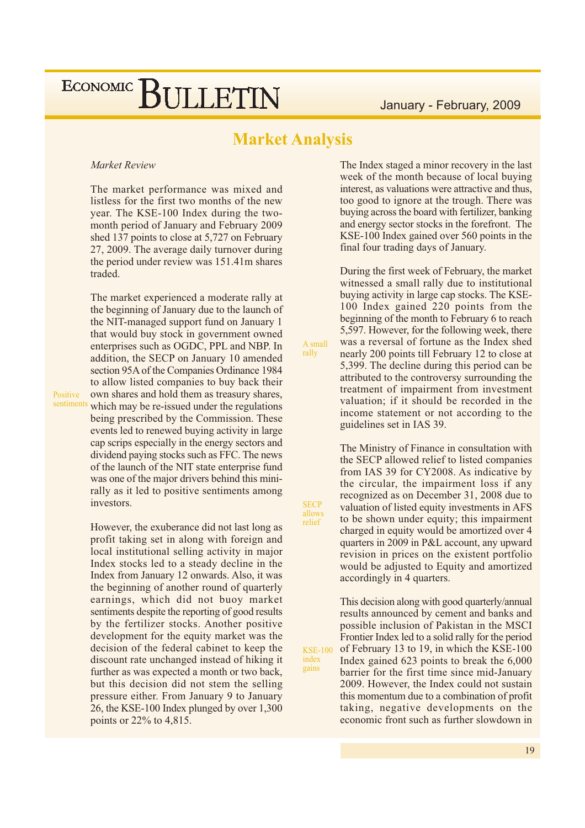## **Market Analysis**

A small

rally

**SECP** 

allows<br>relief

index

gains

#### Market Review

The market performance was mixed and listless for the first two months of the new year. The KSE-100 Index during the twomonth period of January and February 2009 shed 137 points to close at 5,727 on February 27, 2009. The average daily turnover during the period under review was 151.41m shares traded.

The market experienced a moderate rally at the beginning of January due to the launch of the NIT-managed support fund on January 1 that would buy stock in government owned enterprises such as OGDC, PPL and NBP. In addition, the SECP on January 10 amended section 95A of the Companies Ordinance 1984 to allow listed companies to buy back their own shares and hold them as treasury shares, which may be re-issued under the regulations being prescribed by the Commission. These events led to renewed buying activity in large cap scrips especially in the energy sectors and dividend paying stocks such as FFC. The news of the launch of the NIT state enterprise fund was one of the major drivers behind this minirally as it led to positive sentiments among investors.

However, the exuberance did not last long as profit taking set in along with foreign and local institutional selling activity in major Index stocks led to a steady decline in the Index from January 12 onwards. Also, it was the beginning of another round of quarterly earnings, which did not buoy market sentiments despite the reporting of good results by the fertilizer stocks. Another positive development for the equity market was the decision of the federal cabinet to keep the discount rate unchanged instead of hiking it further as was expected a month or two back. but this decision did not stem the selling pressure either. From January 9 to January 26, the KSE-100 Index plunged by over 1,300 points or 22\% to 4,815.

The Index staged a minor recovery in the last week of the month because of local buying interest, as valuations were attractive and thus, too good to ignore at the trough. There was buying across the board with fertilizer, banking and energy sector stocks in the forefront. The KSE-100 Index gained over 560 points in the final four trading days of January.

During the first week of February, the market witnessed a small rally due to institutional buying activity in large cap stocks. The KSE-100 Index gained 220 points from the beginning of the month to February 6 to reach 5,597. However, for the following week, there was a reversal of fortune as the Index shed nearly 200 points till February 12 to close at 5,399. The decline during this period can be attributed to the controversy surrounding the treatment of impairment from investment valuation; if it should be recorded in the income statement or not according to the guidelines set in IAS 39.

The Ministry of Finance in consultation with the SECP allowed relief to listed companies from IAS 39 for CY2008. As indicative by the circular, the impairment loss if any recognized as on December 31, 2008 due to valuation of listed equity investments in AFS to be shown under equity; this impairment charged in equity would be amortized over 4 quarters in 2009 in P&L account, any upward revision in prices on the existent portfolio would be adjusted to Equity and amortized accordingly in 4 quarters.

This decision along with good quarterly/annual results announced by cement and banks and possible inclusion of Pakistan in the MSCI Frontier Index led to a solid rally for the period of February 13 to 19, in which the KSE-100 **KSE-100** Index gained 623 points to break the 6,000 barrier for the first time since mid-January 2009. However, the Index could not sustain this momentum due to a combination of profit taking, negative developments on the economic front such as further slowdown in

Positive sentiments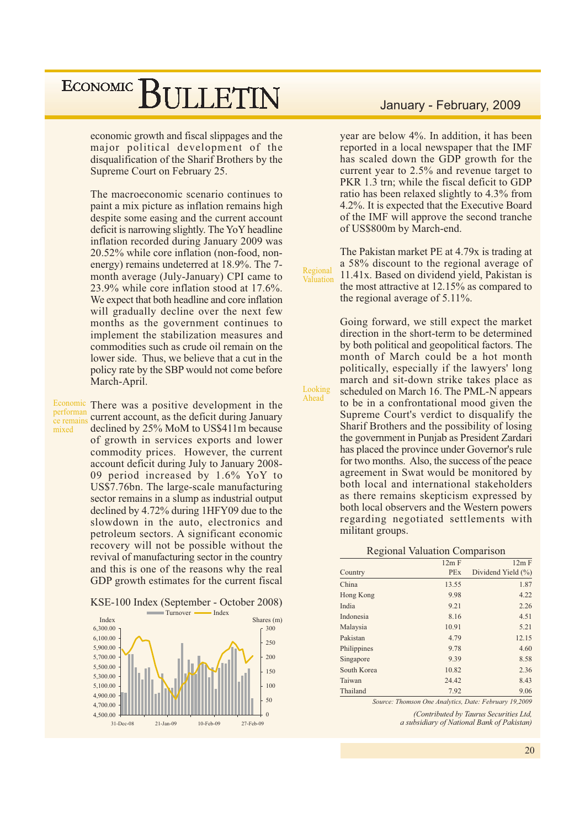economic growth and fiscal slippages and the major political development of the disqualification of the Sharif Brothers by the Supreme Court on February 25.

The macroeconomic scenario continues to paint a mix picture as inflation remains high despite some easing and the current account deficit is narrowing slightly. The YoY headline inflation recorded during January 2009 was 20.52% while core inflation (non-food, nonenergy) remains undeterred at 18.9%. The 7month average (July-January) CPI came to 23.9% while core inflation stood at 17.6%. We expect that both headline and core inflation will gradually decline over the next few months as the government continues to implement the stabilization measures and commodities such as crude oil remain on the lower side. Thus, we believe that a cut in the policy rate by the SBP would not come before March-April.

performan ce remains mixed

Economic There was a positive development in the current account, as the deficit during January declined by 25% MoM to US\$411m because of growth in services exports and lower commodity prices. However, the current account deficit during July to January 2008-09 period increased by 1.6% YoY to US\$7.76bn. The large-scale manufacturing sector remains in a slump as industrial output declined by 4.72% during 1HFY09 due to the slowdown in the auto, electronics and petroleum sectors. A significant economic recovery will not be possible without the revival of manufacturing sector in the country and this is one of the reasons why the real GDP growth estimates for the current fiscal





### January - February, 2009

year are below 4%. In addition, it has been reported in a local newspaper that the IMF has scaled down the GDP growth for the current year to 2.5% and revenue target to PKR 1.3 trn; while the fiscal deficit to GDP ratio has been relaxed slightly to 4.3% from 4.2%. It is expected that the Executive Board of the IMF will approve the second tranche of US\$800m by March-end.

The Pakistan market PE at 4.79x is trading at a 58% discount to the regional average of 11.41x. Based on dividend yield, Pakistan is the most attractive at  $12.15\%$  as compared to the regional average of 5.11%.

Regional

Looking

Ahead

Valuation

Going forward, we still expect the market direction in the short-term to be determined by both political and geopolitical factors. The month of March could be a hot month politically, especially if the lawyers' long march and sit-down strike takes place as scheduled on March 16. The PML-N appears to be in a confrontational mood given the Supreme Court's verdict to disqualify the Sharif Brothers and the possibility of losing the government in Punjab as President Zardari has placed the province under Governor's rule for two months. Also, the success of the peace agreement in Swat would be monitored by both local and international stakeholders as there remains skepticism expressed by both local observers and the Western powers regarding negotiated settlements with militant groups.

#### **Regional Valuation Comparison**

|             | 12m F      | 12m F              |
|-------------|------------|--------------------|
| Country     | <b>PEx</b> | Dividend Yield (%) |
| China       | 13.55      | 1.87               |
| Hong Kong   | 9.98       | 4.22               |
| India       | 9.21       | 2.26               |
| Indonesia   | 8.16       | 4.51               |
| Malaysia    | 10.91      | 5.21               |
| Pakistan    | 4.79       | 12.15              |
| Philippines | 9.78       | 4.60               |
| Singapore   | 9.39       | 8.58               |
| South Korea | 10.82      | 2.36               |
| Taiwan      | 24.42      | 8.43               |
| Thailand    | 7.92       | 9.06               |

Source: Thomson One Analytics, Date: February 19,2009

(Contributed by Taurus Securities Ltd, a subsidiary of National Bank of Pakistan)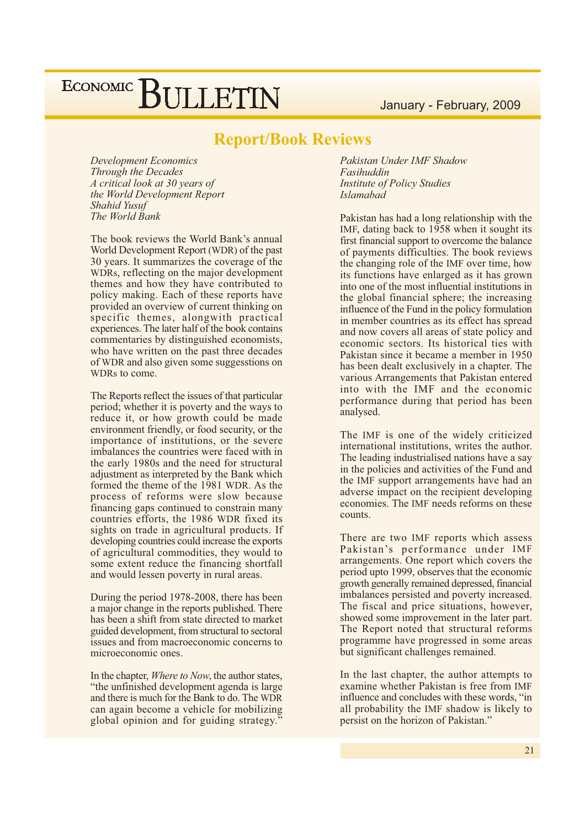January - February, 2009

### **Report/Book Reviews**

**Development Economics** Through the Decades A critical look at 30 years of the World Development Report Shahid Yusuf The World Bank

The book reviews the World Bank's annual World Development Report (WDR) of the past 30 years. It summarizes the coverage of the WDRs, reflecting on the major development themes and how they have contributed to policy making. Each of these reports have provided an overview of current thinking on specific themes, alongwith practical experiences. The later half of the book contains commentaries by distinguished economists, who have written on the past three decades of WDR and also given some suggesstions on WDRs to come.

The Reports reflect the issues of that particular period; whether it is poverty and the ways to reduce it, or how growth could be made environment friendly, or food security, or the importance of institutions, or the severe imbalances the countries were faced with in the early 1980s and the need for structural adjustment as interpreted by the Bank which formed the theme of the 1981 WDR. As the process of reforms were slow because financing gaps continued to constrain many countries efforts, the 1986 WDR fixed its sights on trade in agricultural products. If developing countries could increase the exports of agricultural commodities, they would to some extent reduce the financing shortfall and would lessen poverty in rural areas.

During the period 1978-2008, there has been a major change in the reports published. There has been a shift from state directed to market guided development, from structural to sectoral issues and from macroeconomic concerns to microeconomic ones.

In the chapter, *Where to Now*, the author states, "the unfinished development agenda is large" and there is much for the Bank to do. The WDR can again become a vehicle for mobilizing global opinion and for guiding strategy.

Pakistan Under IMF Shadow Fasihuddin **Institute of Policy Studies Islamabad** 

Pakistan has had a long relationship with the IMF, dating back to 1958 when it sought its first financial support to overcome the balance of payments difficulties. The book reviews the changing role of the IMF over time, how its functions have enlarged as it has grown into one of the most influential institutions in the global financial sphere; the increasing influence of the Fund in the policy formulation in member countries as its effect has spread and now covers all areas of state policy and economic sectors. Its historical ties with Pakistan since it became a member in 1950 has been dealt exclusively in a chapter. The various Arrangements that Pakistan entered into with the IMF and the economic performance during that period has been analysed.

The IMF is one of the widely criticized international institutions, writes the author. The leading industrialised nations have a say in the policies and activities of the Fund and the IMF support arrangements have had an adverse impact on the recipient developing economies. The IMF needs reforms on these counts.

There are two IMF reports which assess Pakistan's performance under IMF arrangements. One report which covers the period upto 1999, observes that the economic growth generally remained depressed, financial imbalances persisted and poverty increased. The fiscal and price situations, however, showed some improvement in the later part. The Report noted that structural reforms programme have progressed in some areas but significant challenges remained.

In the last chapter, the author attempts to examine whether Pakistan is free from IMF influence and concludes with these words, "in all probability the IMF shadow is likely to persist on the horizon of Pakistan."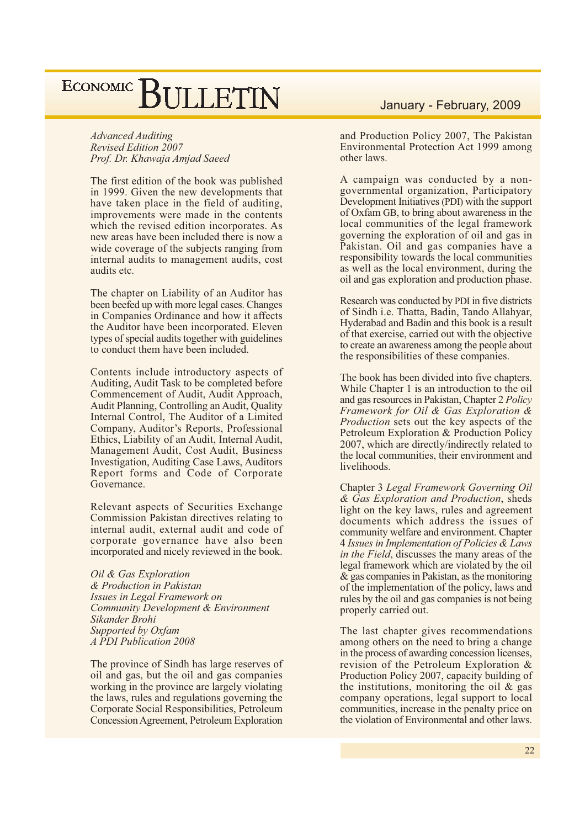**Advanced Auditing** Revised Edition 2007 Prof. Dr. Khawaja Amjad Saeed

The first edition of the book was published in 1999. Given the new developments that have taken place in the field of auditing, improvements were made in the contents which the revised edition incorporates. As new areas have been included there is now a wide coverage of the subjects ranging from internal audits to management audits, cost audits etc.

The chapter on Liability of an Auditor has been beefed up with more legal cases. Changes in Companies Ordinance and how it affects the Auditor have been incorporated. Eleven types of special audits together with guidelines to conduct them have been included.

Contents include introductory aspects of Auditing, Audit Task to be completed before Commencement of Audit, Audit Approach, Audit Planning, Controlling an Audit, Quality Internal Control, The Auditor of a Limited Company, Auditor's Reports, Professional Ethics, Liability of an Audit, Internal Audit, Management Audit, Cost Audit, Business **Investigation, Auditing Case Laws, Auditors** Report forms and Code of Corporate Governance.

Relevant aspects of Securities Exchange Commission Pakistan directives relating to internal audit, external audit and code of corporate governance have also been incorporated and nicely reviewed in the book.

Oil & Gas Exploration & Production in Pakistan Issues in Legal Framework on Community Development & Environment Sikander Brohi Supported by Oxfam A PDI Publication 2008

The province of Sindh has large reserves of oil and gas, but the oil and gas companies working in the province are largely violating the laws, rules and regulations governing the Corporate Social Responsibilities, Petroleum Concession Agreement, Petroleum Exploration

### January - February, 2009

and Production Policy 2007, The Pakistan Environmental Protection Act 1999 among other laws.

A campaign was conducted by a nongovernmental organization, Participatory Development Initiatives (PDI) with the support of Oxfam GB, to bring about awareness in the local communities of the legal framework governing the exploration of oil and gas in Pakistan. Oil and gas companies have a responsibility towards the local communities as well as the local environment, during the oil and gas exploration and production phase.

Research was conducted by PDI in five districts of Sindh i.e. Thatta, Badin, Tando Allahyar, Hyderabad and Badin and this book is a result of that exercise, carried out with the objective to create an awareness among the people about the responsibilities of these companies.

The book has been divided into five chapters. While Chapter 1 is an introduction to the oil and gas resources in Pakistan, Chapter 2 Policy Framework for Oil & Gas Exploration & *Production* sets out the key aspects of the Petroleum Exploration & Production Policy 2007, which are directly/indirectly related to the local communities, their environment and livelihoods.

Chapter 3 Legal Framework Governing Oil & Gas Exploration and Production, sheds light on the key laws, rules and agreement documents which address the issues of community welfare and environment. Chapter 4 Issues in Implementation of Policies & Laws *in the Field*, discusses the many areas of the legal framework which are violated by the oil  $\&$  gas companies in Pakistan, as the monitoring of the implementation of the policy, laws and rules by the oil and gas companies is not being properly carried out.

The last chapter gives recommendations among others on the need to bring a change in the process of awarding concession licenses. revision of the Petroleum Exploration  $\&$ Production Policy 2007, capacity building of the institutions, monitoring the oil  $\&$  gas company operations, legal support to local communities, increase in the penalty price on the violation of Environmental and other laws.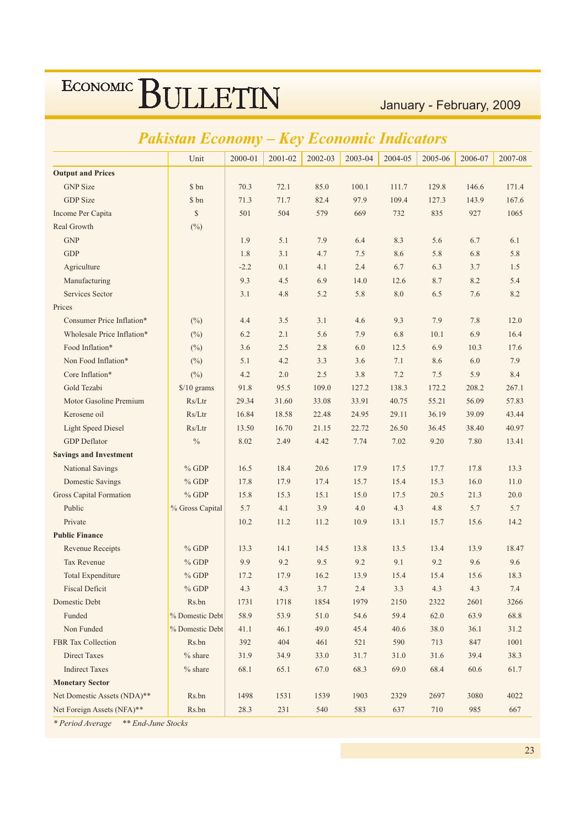January - February, 2009

#### $2001 - 02$ Unit  $2000 - 01$  $2002 - 03$ 2003-04 2004-05 2005-06 2006-07 2007-08 **Output and Prices GNP** Size \$ bn 70.3  $72.1$ 85.0  $100.1$ 111.7 129.8 146.6 171.4 **GDP** Size \$ bn  $71.3$ 97.9 109.4  $71.7$ 82.4 127.3 143.9 167.6 Income Per Capita  $\mathcal{S}$  $501$ 504 579 669  $732$ 835  $927$ 1065 Real Growth  $(%)$ **GNP** 1.9  $5.1$ 7.9  $6.4$ 8.3 5.6 6.7  $6.1$ **GDP** 1.8  $3.1$  $4.7$  $7.5$ 8.6 5.8 6.8 5.8 Agriculture  $-2.2$  $0.1$  $4.1$  $2.4$ 6.7 6.3  $3.7$ 1.5 9.3  $45$ 6.9 14.0 8.7 Manufacturing  $126$ 8.2  $5.4$  $8.0$ 8.2 Services Sector  $3<sub>1</sub>$  $4.8$  $52$ 5.8 6.5 76 Prices Consumer Price Inflation\* 9.3 7.9 7.8 12.0  $(^{0}_{0})$  $4.4$  $3.5$  $3.1$  $4.6$ Wholesale Price Inflation\*  $(%)$ 6.2  $2.1$ 5.6 7.9 6.8  $10.1$ 6.9 16.4 Food Inflation\*  $(\%)$  $3.6$  $2.5$ 2.8  $6.0$ 12.5 6.9  $10.3$ 17.6 Non Food Inflation\*  $(^{0}_{0})$  $5.1$  $4.2$  $3.3$  $3.6$  $7.1$ 8.6 6.0 7.9 Core Inflation\*  $\Delta$  2  $20$  $25$  $3.8$  $72$  $7.5$  $59$ 8.4  $(%)$ Gold Tezabi  $$/10$  grams 91.8 95.5  $1090$  $1272$ 1383 208.2 267.1 172.2 Motor Gasoline Premium  $Rs/Ltr$ 29.34 31.60 33.08 33.91 40.75 55.21 56.09 57.83 Kerosene oil  $Rs/Ltr$ 16.84 18.58 22.48 24.95 29.11 36.19 39.09 43.44 **Light Speed Diesel** 21.15  $Rs/Ltr$ 13.50 16.70 22.72 26.50 36.45 38.40 40.97 **GDP** Deflator  $\frac{0}{0}$ 8.02 2.49 4.42 7.74 7.02 9.20 7.80 13.41 **Savings and Investment National Savings**  $%$  GDP 16.5 18.4 20.6 17.9 17.5 17.7 17.8 13.3  $%$  GDP **Domestic Savings** 178  $179$  $174$  $157$  $154$  $153$  $160$  $110$ Gross Capital Formation  $%$  GDP  $15.8$  $153$  $151$  $150$  $17<sub>5</sub>$  $20<sub>5</sub>$  $213$  $200$ Public % Gross Capital 5.7  $4.1$ 3.9  $4.0$  $4.3$ 4.8 5.7 5.7 Private  $102$ 11.2  $112$ 10.9 13.1 15.7 15.6 14.2 **Public Finance Revenue Receipts**  $%$  GDP 13.3 14.1 14.5 13.8 13.5 13.4 13.9 18.47 Tax Revenue 9.9  $92$ 9.5  $9<sub>2</sub>$ 9.1  $%$  GDP 9.2 9.6 9.6 Total Expenditure  $%$  GDP  $172$ 17.9  $16.2$ 13.9 15.4 18.3 15.4 15.6 **Fiscal Deficit**  $% GDP$  $4.3$  $4.3$  $3.7$  $2.4$  $33$  $4.3$  $4.3$  $74$ Domestic Debt Rs.bn 1731 1718 1854 1979 2150 2322 2601 3266 Funded % Domestic Debt 58.9 53.9 51.0 54.6 59.4 62.0 63.9 68.8 Non Funded % Domestic Debt  $41.1$  $46.1$ 49.0  $45.4$ 40.6 38.0  $36.1$  $31.2$ FBR Tax Collection Rs.bn 392 404 461 521 590 713 847 1001 Direct Taxes  $%$  share 31.9 34.9 33.0 31.7 31.0 31.6 39.4 383 **Indirect Taxes**  $\frac{0}{6}$  chare 68.1 65.1 67.0 68.3 69.0 68.4 60.6 617 **Monetary Sector** Net Domestic Assets (NDA)\*\* Rs.bn 1498 1531 1539 1903 2329 2697 3080 4022 Net Foreign Assets (NFA)\*\* Rs.bn 28.3 231 540 583 637 710 985 667

## **Pakistan Economy - Key Economic Indicators**

\* Period Average \*\* End-June Stocks